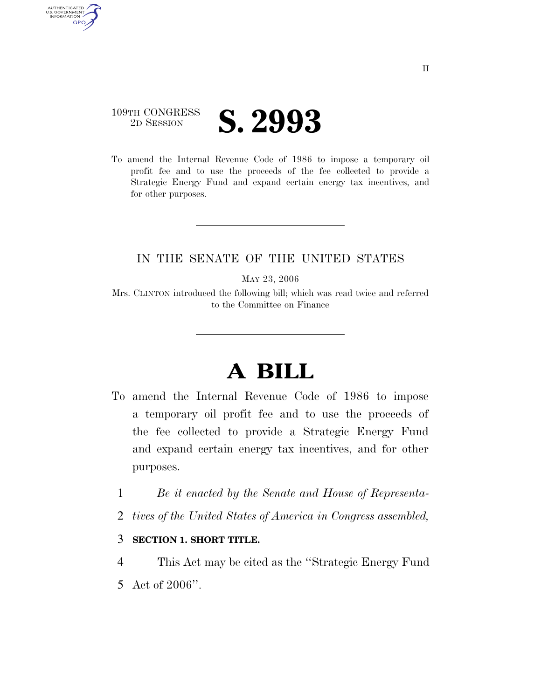#### 109TH CONGRESS <sup>TH CONGRESS</sup> **S. 2993**

AUTHENTICATED<br>U.S. GOVERNMENT<br>INFORMATION

**GPO** 

To amend the Internal Revenue Code of 1986 to impose a temporary oil profit fee and to use the proceeds of the fee collected to provide a Strategic Energy Fund and expand certain energy tax incentives, and for other purposes.

#### IN THE SENATE OF THE UNITED STATES

MAY 23, 2006

Mrs. CLINTON introduced the following bill; which was read twice and referred to the Committee on Finance

# **A BILL**

- To amend the Internal Revenue Code of 1986 to impose a temporary oil profit fee and to use the proceeds of the fee collected to provide a Strategic Energy Fund and expand certain energy tax incentives, and for other purposes.
	- 1 *Be it enacted by the Senate and House of Representa-*
	- 2 *tives of the United States of America in Congress assembled,*

#### 3 **SECTION 1. SHORT TITLE.**

4 This Act may be cited as the ''Strategic Energy Fund 5 Act of 2006''.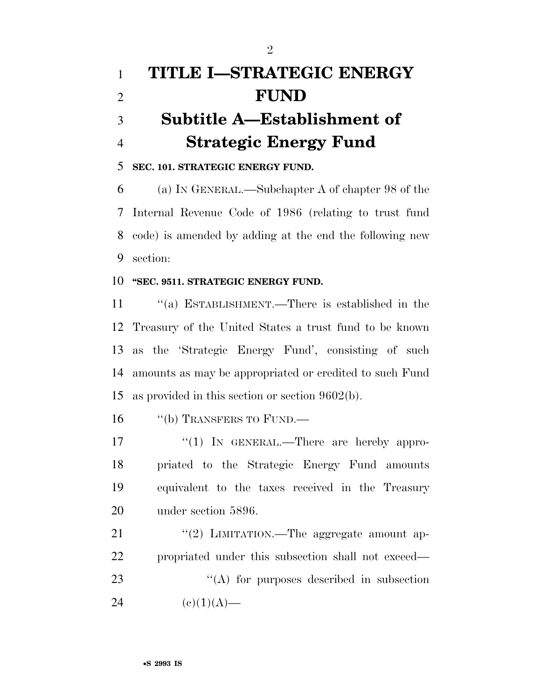# **TITLE I—STRATEGIC ENERGY FUND Subtitle A—Establishment of Strategic Energy Fund**

**SEC. 101. STRATEGIC ENERGY FUND.** 

 (a) IN GENERAL.—Subchapter A of chapter 98 of the Internal Revenue Code of 1986 (relating to trust fund code) is amended by adding at the end the following new section:

#### **''SEC. 9511. STRATEGIC ENERGY FUND.**

 ''(a) ESTABLISHMENT.—There is established in the Treasury of the United States a trust fund to be known as the 'Strategic Energy Fund', consisting of such amounts as may be appropriated or credited to such Fund as provided in this section or section 9602(b).

16 "(b) TRANSFERS TO FUND.—

17 "(1) In GENERAL.—There are hereby appro- priated to the Strategic Energy Fund amounts equivalent to the taxes received in the Treasury under section 5896.

21 "(2) LIMITATION.—The aggregate amount ap- propriated under this subsection shall not exceed— 23 ''(A) for purposes described in subsection 24 (e)(1)(A)—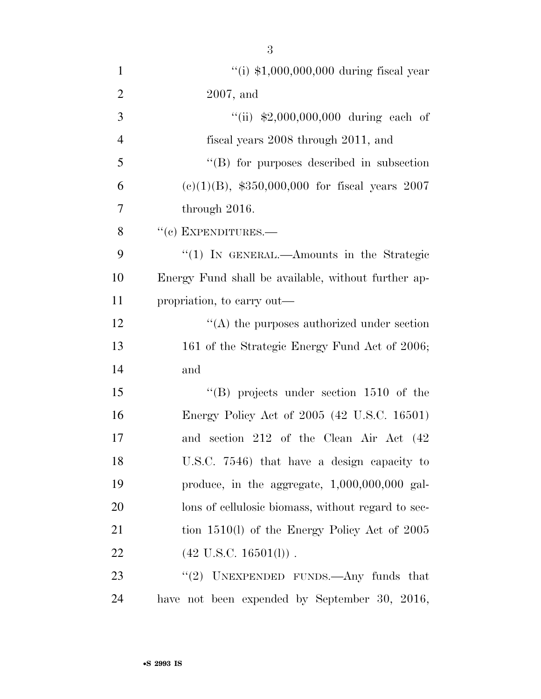| $\mathbf{1}$   | "(i) $$1,000,000,000$ during fiscal year            |
|----------------|-----------------------------------------------------|
| $\overline{2}$ | $2007$ , and                                        |
| 3              | "(ii) $$2,000,000,000$ during each of               |
| $\overline{4}$ | fiscal years 2008 through 2011, and                 |
| 5              | "(B) for purposes described in subsection           |
| 6              | $(e)(1)(B)$ , \$350,000,000 for fiscal years 2007   |
| 7              | through $2016$ .                                    |
| 8              | $``(c)$ EXPENDITURES.—                              |
| 9              | "(1) IN GENERAL.—Amounts in the Strategic           |
| 10             | Energy Fund shall be available, without further ap- |
| 11             | propriation, to carry out—                          |
| 12             | $\lq\lq$ the purposes authorized under section      |
| 13             | 161 of the Strategic Energy Fund Act of 2006;       |
| 14             | and                                                 |
| 15             | $\lq\lq$ (B) projects under section 1510 of the     |
| 16             | Energy Policy Act of 2005 (42 U.S.C. 16501)         |
| 17             | and section 212 of the Clean Air Act (42            |
| 18             | U.S.C. 7546) that have a design capacity to         |
| 19             | produce, in the aggregate, $1,000,000,000$ gal-     |
| 20             | lons of cellulosic biomass, without regard to sec-  |
| 21             | tion $1510(l)$ of the Energy Policy Act of 2005     |
| 22             | $(42 \text{ U.S.C. } 16501(l))$ .                   |
| 23             | "(2) UNEXPENDED FUNDS.—Any funds that               |

have not been expended by September 30, 2016,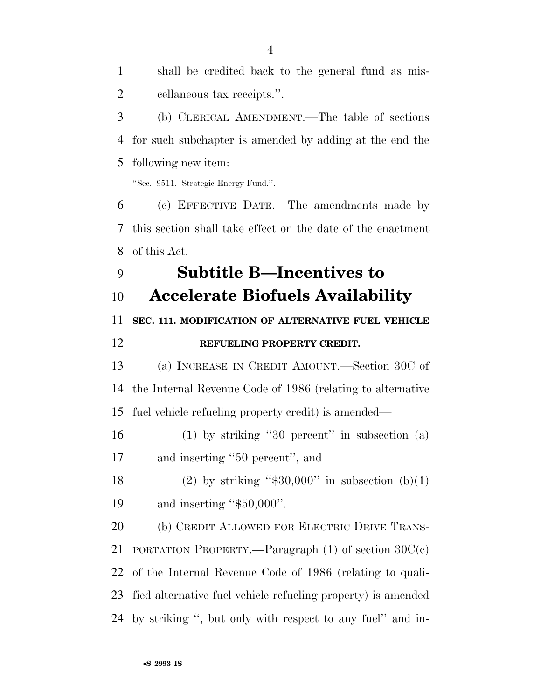shall be credited back to the general fund as mis- cellaneous tax receipts.''. (b) CLERICAL AMENDMENT.—The table of sections for such subchapter is amended by adding at the end the following new item: ''Sec. 9511. Strategic Energy Fund.''. (c) EFFECTIVE DATE.—The amendments made by this section shall take effect on the date of the enactment of this Act. **Subtitle B—Incentives to Accelerate Biofuels Availability SEC. 111. MODIFICATION OF ALTERNATIVE FUEL VEHICLE REFUELING PROPERTY CREDIT.**  (a) INCREASE IN CREDIT AMOUNT.—Section 30C of the Internal Revenue Code of 1986 (relating to alternative fuel vehicle refueling property credit) is amended— (1) by striking ''30 percent'' in subsection (a) and inserting ''50 percent'', and 18 (2) by striking " $\$30,000"$  in subsection (b)(1) and inserting ''\$50,000''. (b) CREDIT ALLOWED FOR ELECTRIC DRIVE TRANS- PORTATION PROPERTY.—Paragraph (1) of section 30C(c) of the Internal Revenue Code of 1986 (relating to quali- fied alternative fuel vehicle refueling property) is amended by striking '', but only with respect to any fuel'' and in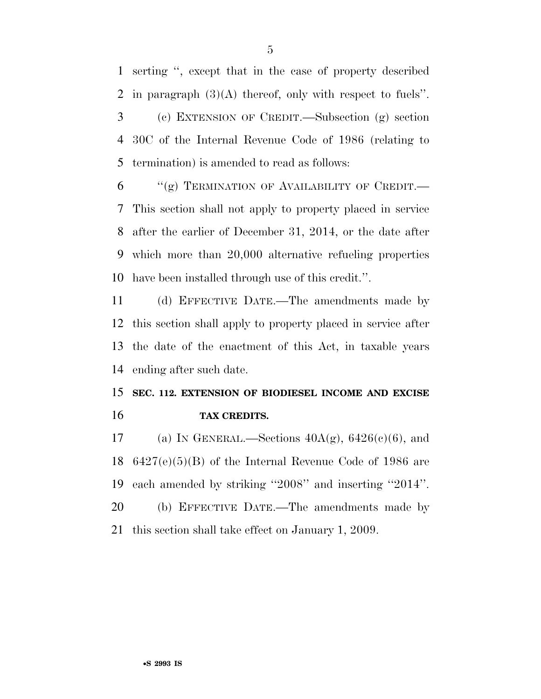serting '', except that in the case of property described in paragraph (3)(A) thereof, only with respect to fuels''. (c) EXTENSION OF CREDIT.—Subsection (g) section 30C of the Internal Revenue Code of 1986 (relating to termination) is amended to read as follows:

 "(g) TERMINATION OF AVAILABILITY OF CREDIT.— This section shall not apply to property placed in service after the earlier of December 31, 2014, or the date after which more than 20,000 alternative refueling properties have been installed through use of this credit.''.

 (d) EFFECTIVE DATE.—The amendments made by this section shall apply to property placed in service after the date of the enactment of this Act, in taxable years ending after such date.

### **SEC. 112. EXTENSION OF BIODIESEL INCOME AND EXCISE TAX CREDITS.**

17 (a) IN GENERAL.—Sections  $40A(g)$ ,  $6426(e)(6)$ , and 6427(e)(5)(B) of the Internal Revenue Code of 1986 are each amended by striking ''2008'' and inserting ''2014''. (b) EFFECTIVE DATE.—The amendments made by

this section shall take effect on January 1, 2009.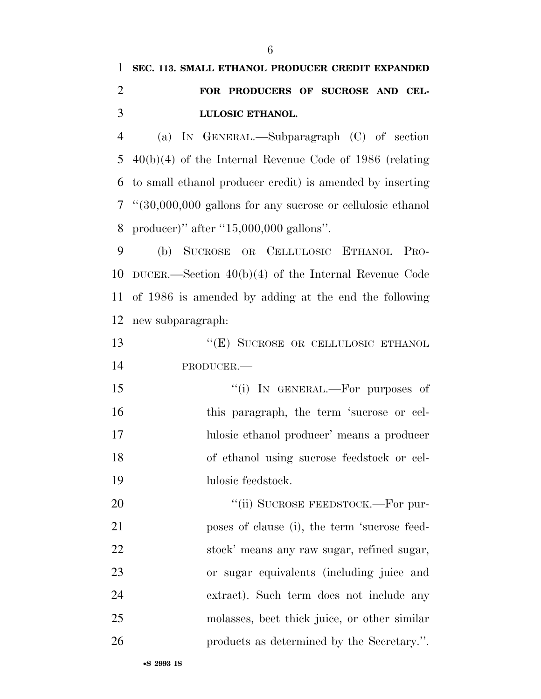# **SEC. 113. SMALL ETHANOL PRODUCER CREDIT EXPANDED FOR PRODUCERS OF SUCROSE AND CEL-LULOSIC ETHANOL.**

 (a) IN GENERAL.—Subparagraph (C) of section 40(b)(4) of the Internal Revenue Code of 1986 (relating to small ethanol producer credit) is amended by inserting ''(30,000,000 gallons for any sucrose or cellulosic ethanol producer)'' after ''15,000,000 gallons''.

 (b) SUCROSE OR CELLULOSIC ETHANOL PRO- DUCER.—Section 40(b)(4) of the Internal Revenue Code of 1986 is amended by adding at the end the following new subparagraph:

13 "(E) SUCROSE OR CELLULOSIC ETHANOL PRODUCER.—

 $\frac{15}{10}$  In GENERAL.—For purposes of this paragraph, the term 'sucrose or cel- lulosic ethanol producer' means a producer of ethanol using sucrose feedstock or cel-lulosic feedstock.

20 "(ii) SUCROSE FEEDSTOCK.—For pur- poses of clause (i), the term 'sucrose feed- stock' means any raw sugar, refined sugar, or sugar equivalents (including juice and extract). Such term does not include any molasses, beet thick juice, or other similar products as determined by the Secretary.''.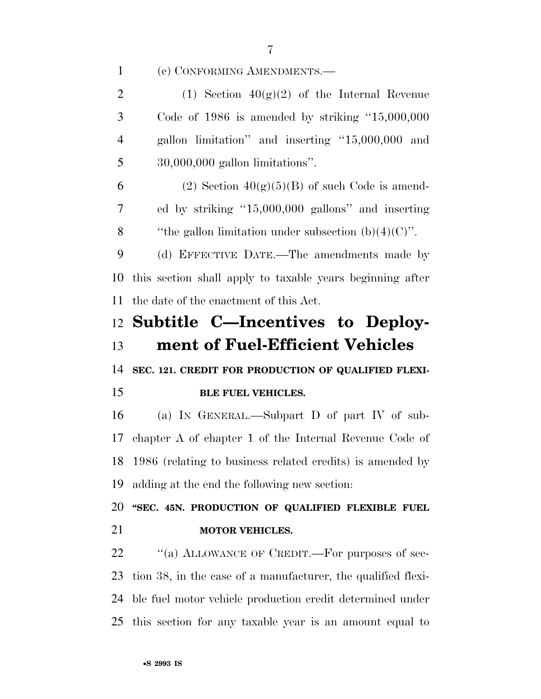(c) CONFORMING AMENDMENTS.—

2 (1) Section  $40(g)(2)$  of the Internal Revenue Code of 1986 is amended by striking ''15,000,000 gallon limitation'' and inserting ''15,000,000 and 30,000,000 gallon limitations''.

6 (2) Section  $40(g)(5)(B)$  of such Code is amend- ed by striking ''15,000,000 gallons'' and inserting 8 "the gallon limitation under subsection  $(b)(4)(C)$ ".

 (d) EFFECTIVE DATE.—The amendments made by this section shall apply to taxable years beginning after the date of the enactment of this Act.

## **Subtitle C—Incentives to Deploy-ment of Fuel-Efficient Vehicles**

**SEC. 121. CREDIT FOR PRODUCTION OF QUALIFIED FLEXI-**

#### **BLE FUEL VEHICLES.**

 (a) IN GENERAL.—Subpart D of part IV of sub- chapter A of chapter 1 of the Internal Revenue Code of 1986 (relating to business related credits) is amended by adding at the end the following new section:

 **''SEC. 45N. PRODUCTION OF QUALIFIED FLEXIBLE FUEL MOTOR VEHICLES.** 

22 "(a) ALLOWANCE OF CREDIT.—For purposes of sec- tion 38, in the case of a manufacturer, the qualified flexi- ble fuel motor vehicle production credit determined under this section for any taxable year is an amount equal to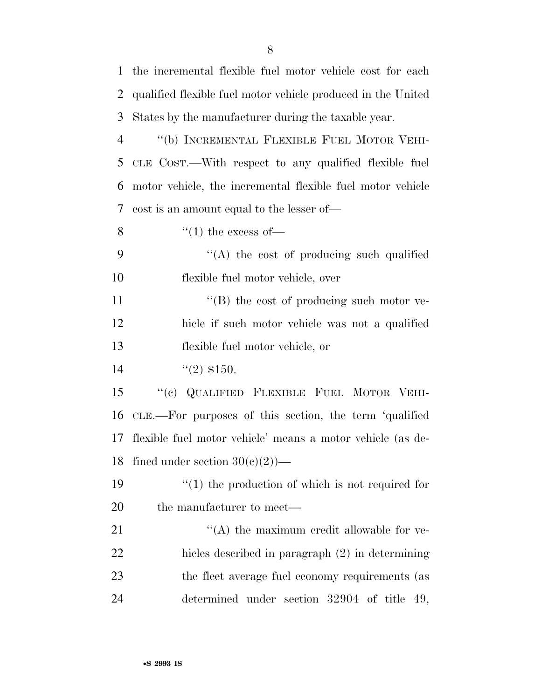| 1              | the incremental flexible fuel motor vehicle cost for each    |
|----------------|--------------------------------------------------------------|
| $\overline{2}$ | qualified flexible fuel motor vehicle produced in the United |
| 3              | States by the manufacturer during the taxable year.          |
| 4              | "(b) INCREMENTAL FLEXIBLE FUEL MOTOR VEHI-                   |
| 5              | CLE COST.—With respect to any qualified flexible fuel        |
| 6              | motor vehicle, the incremental flexible fuel motor vehicle   |
| 7              | cost is an amount equal to the lesser of—                    |
| 8              | $\lq(1)$ the excess of—                                      |
| 9              | $\lq\lq$ the cost of producing such qualified                |
| 10             | flexible fuel motor vehicle, over                            |
| 11             | $\lq\lq (B)$ the cost of producing such motor ve-            |
| 12             | hicle if such motor vehicle was not a qualified              |
| 13             | flexible fuel motor vehicle, or                              |
| 14             | $\lq(2)$ \$150.                                              |
| 15             | "(c) QUALIFIED FLEXIBLE FUEL MOTOR VEHI-                     |
| 16             | CLE.—For purposes of this section, the term 'qualified       |
| 17             | flexible fuel motor vehicle' means a motor vehicle (as de-   |
|                | 18 fined under section $30(c)(2)$ )                          |
| 19             | $\lq(1)$ the production of which is not required for         |
| 20             | the manufacturer to meet—                                    |
| 21             | $\lq\lq$ the maximum credit allowable for ve-                |
| 22             | hicles described in paragraph (2) in determining             |
| 23             | the fleet average fuel economy requirements (as              |
| 24             | determined under section 32904 of title 49,                  |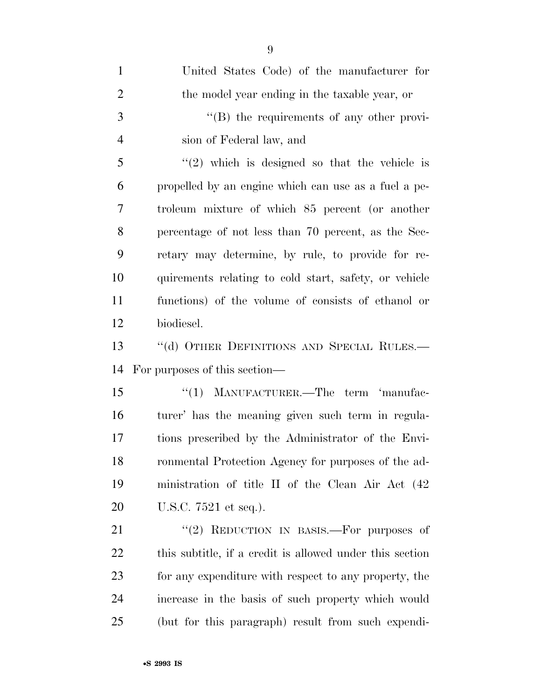| $\mathbf{1}$   | United States Code) of the manufacturer for              |
|----------------|----------------------------------------------------------|
| $\overline{2}$ | the model year ending in the taxable year, or            |
| 3              | "(B) the requirements of any other provi-                |
| $\overline{4}$ | sion of Federal law, and                                 |
| 5              | $(2)$ which is designed so that the vehicle is           |
| 6              | propelled by an engine which can use as a fuel a pe-     |
| 7              | troleum mixture of which 85 percent (or another          |
| 8              | percentage of not less than 70 percent, as the Sec-      |
| 9              | retary may determine, by rule, to provide for re-        |
| 10             | quirements relating to cold start, safety, or vehicle    |
| 11             | functions) of the volume of consists of ethanol or       |
| 12             | biodiesel.                                               |
| 13             | "(d) OTHER DEFINITIONS AND SPECIAL RULES.-               |
| 14             | For purposes of this section—                            |
| 15             | "(1) MANUFACTURER.—The term 'manufac-                    |
| 16             | turer' has the meaning given such term in regula-        |
| 17             | tions prescribed by the Administrator of the Envi-       |
| 18             | ronmental Protection Agency for purposes of the ad-      |
| 19             | ministration of title II of the Clean Air Act (42)       |
| 20             | U.S.C. 7521 et seq.).                                    |
| 21             | "(2) REDUCTION IN BASIS.—For purposes of                 |
| 22             | this subtitle, if a credit is allowed under this section |
| 23             | for any expenditure with respect to any property, the    |
| 24             | increase in the basis of such property which would       |
| 25             | (but for this paragraph) result from such expendi-       |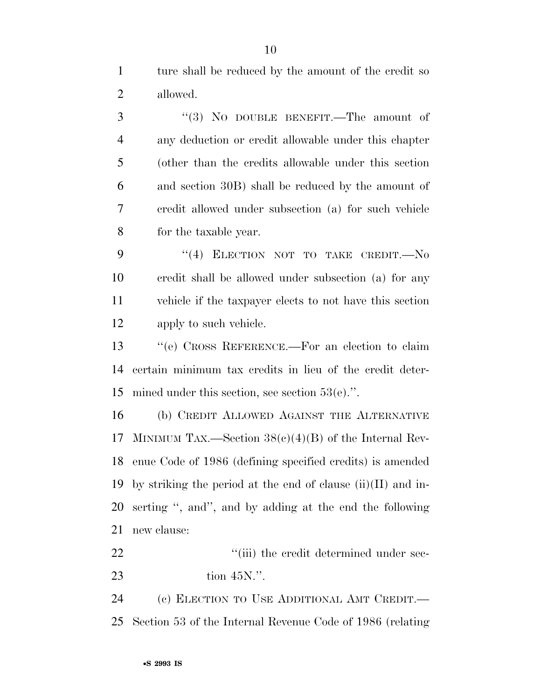ture shall be reduced by the amount of the credit so allowed.

3 "(3) NO DOUBLE BENEFIT.—The amount of any deduction or credit allowable under this chapter (other than the credits allowable under this section and section 30B) shall be reduced by the amount of credit allowed under subsection (a) for such vehicle for the taxable year.

9 "(4) ELECTION NOT TO TAKE CREDIT.—No credit shall be allowed under subsection (a) for any vehicle if the taxpayer elects to not have this section apply to such vehicle.

 ''(e) CROSS REFERENCE.—For an election to claim certain minimum tax credits in lieu of the credit deter-mined under this section, see section 53(e).''.

 (b) CREDIT ALLOWED AGAINST THE ALTERNATIVE MINIMUM TAX.—Section 38(c)(4)(B) of the Internal Rev- enue Code of 1986 (defining specified credits) is amended 19 by striking the period at the end of clause  $(ii)(II)$  and in- serting '', and'', and by adding at the end the following new clause:

22  $\frac{1}{2}$   $\frac{1}{2}$   $\frac{1}{2}$  the credit determined under sec-tion 45N.''.

 (c) ELECTION TO USE ADDITIONAL AMT CREDIT.— Section 53 of the Internal Revenue Code of 1986 (relating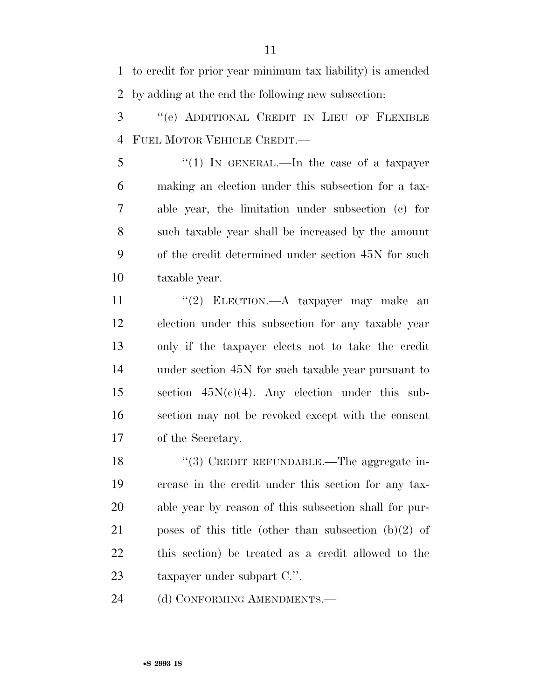to credit for prior year minimum tax liability) is amended by adding at the end the following new subsection:

 ''(e) ADDITIONAL CREDIT IN LIEU OF FLEXIBLE FUEL MOTOR VEHICLE CREDIT.—

 $\frac{1}{2}$   $\frac{1}{2}$  IN GENERAL.—In the case of a taxpayer making an election under this subsection for a tax- able year, the limitation under subsection (c) for such taxable year shall be increased by the amount of the credit determined under section 45N for such taxable year.

11 "(2) ELECTION.—A taxpayer may make an election under this subsection for any taxable year only if the taxpayer elects not to take the credit under section 45N for such taxable year pursuant to 15 section  $45N(c)(4)$ . Any election under this sub- section may not be revoked except with the consent of the Secretary.

18 "(3) CREDIT REFUNDABLE.—The aggregate in- crease in the credit under this section for any tax- able year by reason of this subsection shall for pur- poses of this title (other than subsection (b)(2) of this section) be treated as a credit allowed to the taxpayer under subpart C.''.

24 (d) CONFORMING AMENDMENTS.—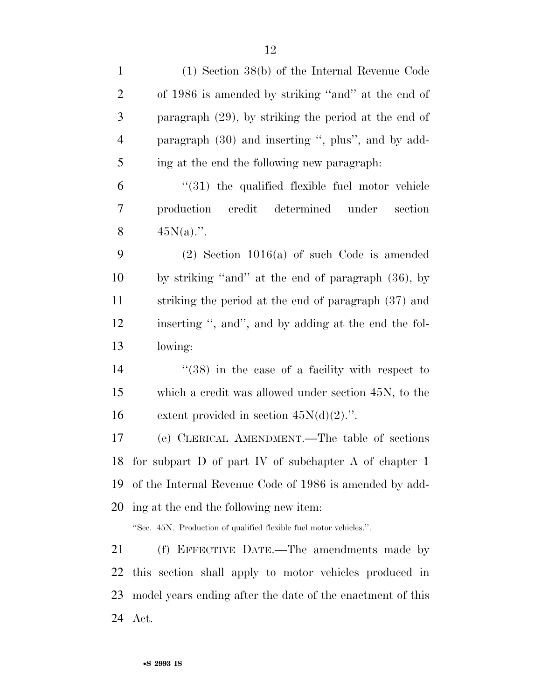| $\mathbf{1}$   | $(1)$ Section 38(b) of the Internal Revenue Code                   |
|----------------|--------------------------------------------------------------------|
| $\overline{c}$ | of 1986 is amended by striking "and" at the end of                 |
| 3              | paragraph $(29)$ , by striking the period at the end of            |
| $\overline{4}$ | paragraph (30) and inserting ", plus", and by add-                 |
| 5              | ing at the end the following new paragraph.                        |
| 6              | $\cdot$ (31) the qualified flexible fuel motor vehicle             |
| 7              | production credit<br>determined under<br>section                   |
| 8              | $45N(a)$ .".                                                       |
| 9              | $(2)$ Section 1016(a) of such Code is amended                      |
| 10             | by striking "and" at the end of paragraph (36), by                 |
| 11             | striking the period at the end of paragraph (37) and               |
| 12             | inserting ", and", and by adding at the end the fol-               |
| 13             | lowing:                                                            |
| 14             | $\cdot$ (38) in the case of a facility with respect to             |
| 15             | which a credit was allowed under section 45N, to the               |
| 16             | extent provided in section $45N(d)(2)$ .".                         |
| 17             | (e) CLERICAL AMENDMENT.—The table of sections                      |
|                | 18 for subpart D of part IV of subchapter A of chapter 1           |
| 19             | of the Internal Revenue Code of 1986 is amended by add-            |
| 20             | ing at the end the following new item:                             |
|                | "Sec. 45N. Production of qualified flexible fuel motor vehicles.". |
| 21             | (f) EFFECTIVE DATE.—The amendments made by                         |
| 22             | this section shall apply to motor vehicles produced in             |
| 23             | model years ending after the date of the enactment of this         |
| 24             | Act.                                                               |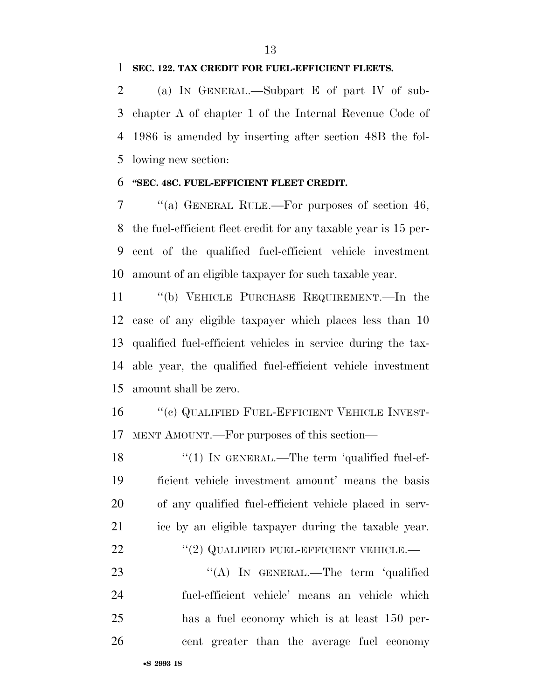#### **SEC. 122. TAX CREDIT FOR FUEL-EFFICIENT FLEETS.**

 (a) IN GENERAL.—Subpart E of part IV of sub- chapter A of chapter 1 of the Internal Revenue Code of 1986 is amended by inserting after section 48B the fol-lowing new section:

#### **''SEC. 48C. FUEL-EFFICIENT FLEET CREDIT.**

 ''(a) GENERAL RULE.—For purposes of section 46, the fuel-efficient fleet credit for any taxable year is 15 per- cent of the qualified fuel-efficient vehicle investment amount of an eligible taxpayer for such taxable year.

 ''(b) VEHICLE PURCHASE REQUIREMENT.—In the case of any eligible taxpayer which places less than 10 qualified fuel-efficient vehicles in service during the tax- able year, the qualified fuel-efficient vehicle investment amount shall be zero.

16 "(c) QUALIFIED FUEL-EFFICIENT VEHICLE INVEST-MENT AMOUNT.—For purposes of this section—

18 "(1) IN GENERAL.—The term 'qualified fuel-ef- ficient vehicle investment amount' means the basis of any qualified fuel-efficient vehicle placed in serv- ice by an eligible taxpayer during the taxable year. 22 "(2) QUALIFIED FUEL-EFFICIENT VEHICLE.—

23 "(A) In GENERAL.—The term 'qualified fuel-efficient vehicle' means an vehicle which has a fuel economy which is at least 150 per-cent greater than the average fuel economy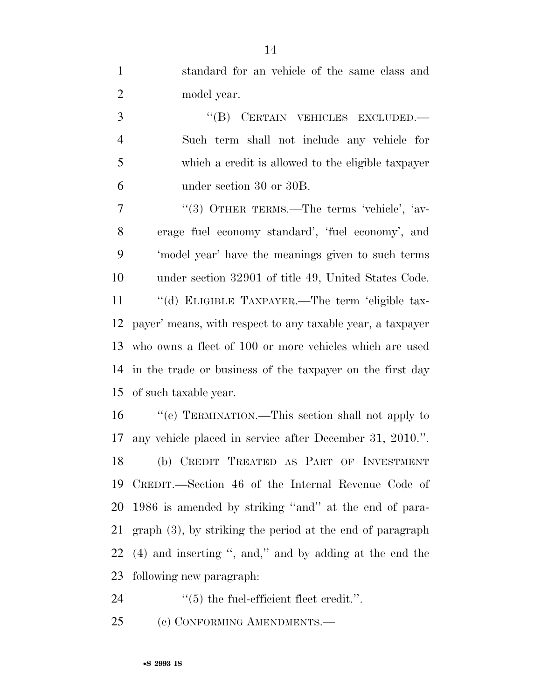standard for an vehicle of the same class and model year.

3 "(B) CERTAIN VEHICLES EXCLUDED.— Such term shall not include any vehicle for which a credit is allowed to the eligible taxpayer under section 30 or 30B.

7 "(3) OTHER TERMS.—The terms 'vehicle', 'av- erage fuel economy standard', 'fuel economy', and 'model year' have the meanings given to such terms under section 32901 of title 49, United States Code. ''(d) ELIGIBLE TAXPAYER.—The term 'eligible tax- payer' means, with respect to any taxable year, a taxpayer who owns a fleet of 100 or more vehicles which are used in the trade or business of the taxpayer on the first day of such taxable year.

 ''(e) TERMINATION.—This section shall not apply to any vehicle placed in service after December 31, 2010.''. (b) CREDIT TREATED AS PART OF INVESTMENT CREDIT.—Section 46 of the Internal Revenue Code of 1986 is amended by striking ''and'' at the end of para- graph (3), by striking the period at the end of paragraph (4) and inserting '', and,'' and by adding at the end the following new paragraph:

24  $(5)$  the fuel-efficient fleet credit.".

25 (c) CONFORMING AMENDMENTS.—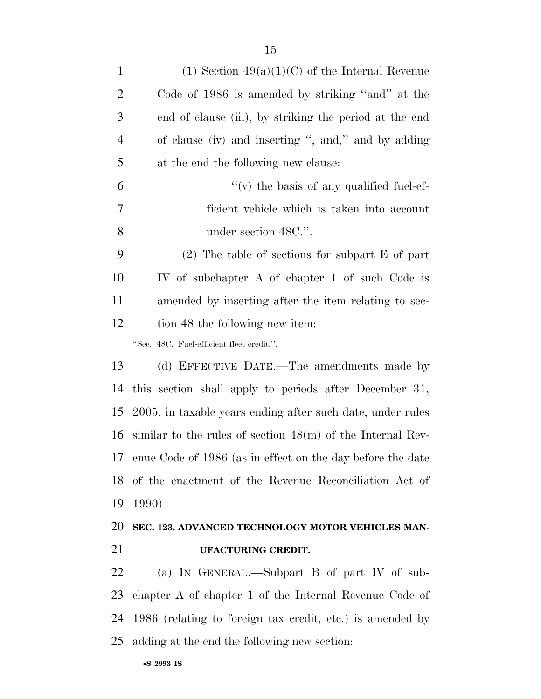| $\mathbf{1}$   | $(1)$ Section $49(a)(1)(C)$ of the Internal Revenue           |
|----------------|---------------------------------------------------------------|
| $\overline{2}$ | Code of 1986 is amended by striking "and" at the              |
| 3              | end of clause (iii), by striking the period at the end        |
| $\overline{4}$ | of clause (iv) and inserting ", and," and by adding           |
| 5              | at the end the following new clause:                          |
| 6              | $\lq\lq$ (v) the basis of any qualified fuel-ef-              |
| 7              | ficient vehicle which is taken into account                   |
| 8              | under section 48C.".                                          |
| 9              | $(2)$ The table of sections for subpart E of part             |
| 10             | IV of subchapter A of chapter 1 of such Code is               |
| 11             | amended by inserting after the item relating to sec-          |
| 12             | tion 48 the following new item:                               |
|                | "Sec. 48C. Fuel-efficient fleet credit.".                     |
| 13             | (d) EFFECTIVE DATE.—The amendments made by                    |
| 14             | this section shall apply to periods after December 31,        |
| 15             | 2005, in taxable years ending after such date, under rules    |
| 16             | similar to the rules of section $48(m)$ of the Internal Rev-  |
|                | 17 enue Code of 1986 (as in effect on the day before the date |
| 18             | of the enactment of the Revenue Reconciliation Act of         |
| 19             | 1990).                                                        |
| 20             | SEC. 123. ADVANCED TECHNOLOGY MOTOR VEHICLES MAN-             |
| 21             | UFACTURING CREDIT.                                            |
| 22             | (a) IN GENERAL.—Subpart B of part IV of sub-                  |
| 23             | chapter A of chapter 1 of the Internal Revenue Code of        |

1986 (relating to foreign tax credit, etc.) is amended by

adding at the end the following new section: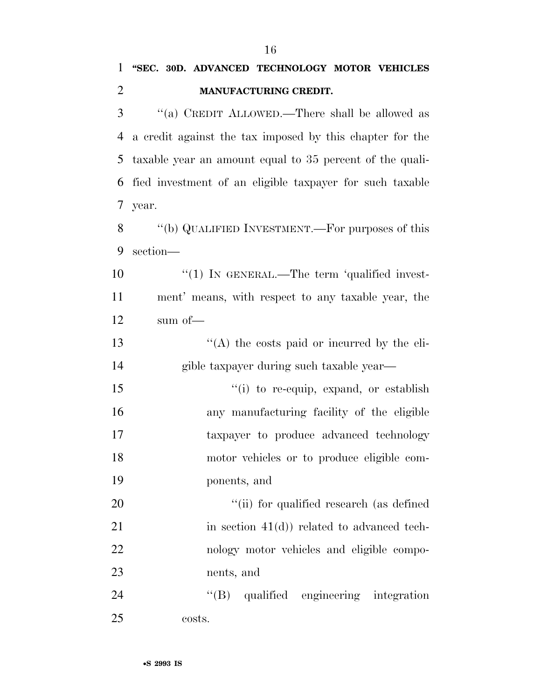| 3  | "(a) CREDIT ALLOWED.—There shall be allowed as           |
|----|----------------------------------------------------------|
| 4  | a credit against the tax imposed by this chapter for the |
| 5  | taxable year an amount equal to 35 percent of the quali- |
| 6  | fied investment of an eligible taxpayer for such taxable |
| 7  | year.                                                    |
| 8  | "(b) QUALIFIED INVESTMENT.—For purposes of this          |
| 9  | section-                                                 |
| 10 | $\lq(1)$ IN GENERAL.—The term 'qualified invest-         |
| 11 | ment' means, with respect to any taxable year, the       |
| 12 | sum of-                                                  |
| 13 | $\lq\lq$ the costs paid or incurred by the eli-          |
| 14 | gible taxpayer during such taxable year-                 |
| 15 | "(i) to re-equip, expand, or establish                   |
| 16 | any manufacturing facility of the eligible               |
| 17 | taxpayer to produce advanced technology                  |
| 18 | motor vehicles or to produce eligible com-               |
| 19 | ponents, and                                             |
| 20 | "(ii) for qualified research (as defined                 |
| 21 | in section $41(d)$ ) related to advanced tech-           |
| 22 | nology motor vehicles and eligible compo-                |
| 23 | nents, and                                               |
| 24 | qualified engineering integration<br>$\lq\lq (B)$        |
| 25 | costs.                                                   |
|    |                                                          |
|    | •S 2993 IS                                               |

## **''SEC. 30D. ADVANCED TECHNOLOGY MOTOR VEHICLES MANUFACTURING CREDIT.**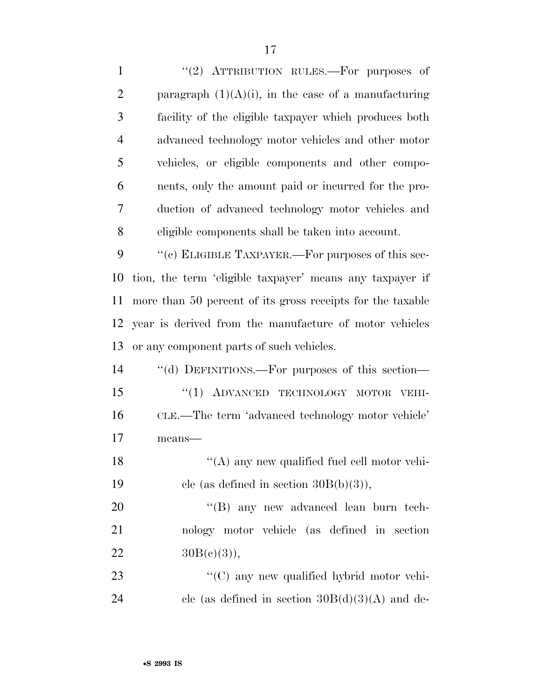1 "(2) ATTRIBUTION RULES.—For purposes of 2 paragraph  $(1)(A)(i)$ , in the case of a manufacturing facility of the eligible taxpayer which produces both advanced technology motor vehicles and other motor vehicles, or eligible components and other compo- nents, only the amount paid or incurred for the pro- duction of advanced technology motor vehicles and eligible components shall be taken into account.  $\cdot$  "(c) ELIGIBLE TAXPAYER.—For purposes of this sec- tion, the term 'eligible taxpayer' means any taxpayer if more than 50 percent of its gross receipts for the taxable year is derived from the manufacture of motor vehicles or any component parts of such vehicles. ''(d) DEFINITIONS.—For purposes of this section— 15 "(1) ADVANCED TECHNOLOGY MOTOR VEHI- CLE.—The term 'advanced technology motor vehicle' 17 means— 18 "(A) any new qualified fuel cell motor vehi-19 cle (as defined in section  $30B(b)(3)$ ), 20 "'(B) any new advanced lean burn tech- nology motor vehicle (as defined in section  $30B(e)(3)$ ,  $\cdot$  (C) any new qualified hybrid motor vehi-24 cle (as defined in section  $30B(d)(3)(A)$  and de-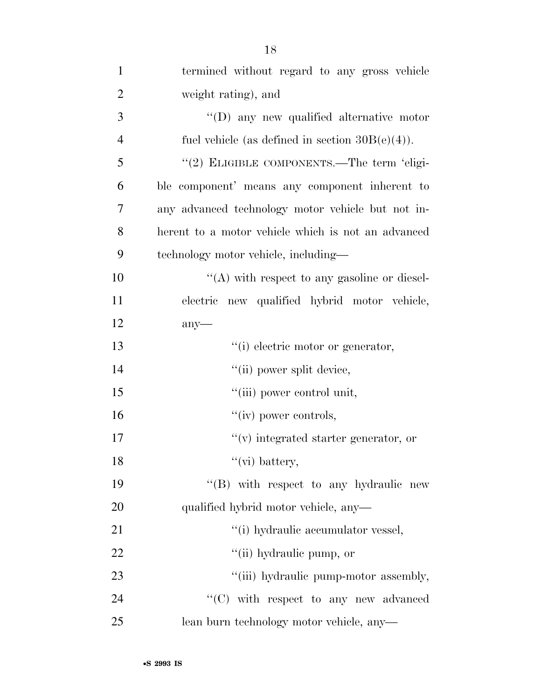| $\mathbf{1}$   | termined without regard to any gross vehicle       |
|----------------|----------------------------------------------------|
| $\overline{2}$ | weight rating), and                                |
| 3              | $\lq\lq$ (D) any new qualified alternative motor   |
| $\overline{4}$ | fuel vehicle (as defined in section $30B(e)(4)$ ). |
| 5              | "(2) ELIGIBLE COMPONENTS.—The term 'eligi-         |
| 6              | ble component' means any component inherent to     |
| 7              | any advanced technology motor vehicle but not in-  |
| 8              | herent to a motor vehicle which is not an advanced |
| 9              | technology motor vehicle, including—               |
| 10             | $\lq\lq$ with respect to any gasoline or diesel-   |
| 11             | electric new qualified hybrid motor vehicle,       |
| 12             | $any$ —                                            |
| 13             | "(i) electric motor or generator,                  |
| 14             | "(ii) power split device,                          |
| 15             | "(iii) power control unit,                         |
| 16             | $``(iv)$ power controls,                           |
| 17             | $f'(v)$ integrated starter generator, or           |
| 18             | $``$ (vi) battery,                                 |
| 19             | "(B) with respect to any hydraulic new             |
| 20             | qualified hybrid motor vehicle, any—               |
| 21             | "(i) hydraulic accumulator vessel,                 |
| 22             | "(ii) hydraulic pump, or                           |
| 23             | "(iii) hydraulic pump-motor assembly,              |
| 24             | $\lq\lq$ (C) with respect to any new advanced      |
| 25             | lean burn technology motor vehicle, any-           |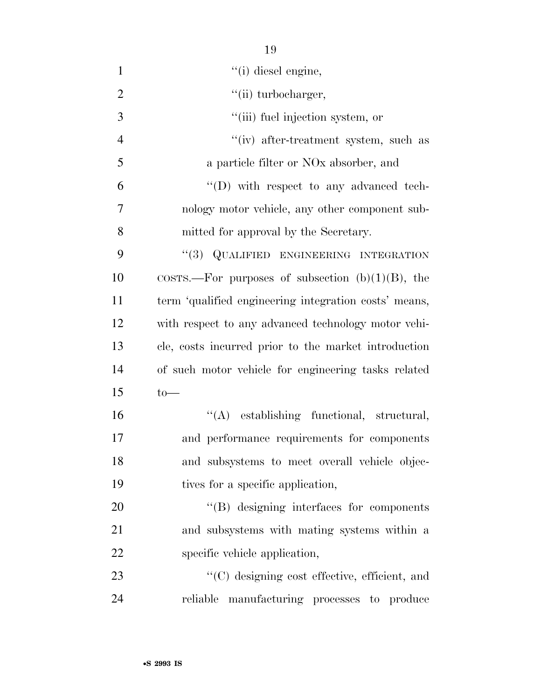| $\mathbf{1}$   | "(i) diesel engine,                                           |
|----------------|---------------------------------------------------------------|
| $\overline{2}$ | "(ii) turbocharger,                                           |
| 3              | "(iii) fuel injection system, or                              |
| $\overline{4}$ | "(iv) after-treatment system, such as                         |
| 5              | a particle filter or NO <sub>x</sub> absorber, and            |
| 6              | $\lq\lq$ (D) with respect to any advanced tech-               |
| $\overline{7}$ | nology motor vehicle, any other component sub-                |
| 8              | mitted for approval by the Secretary.                         |
| 9              | "(3) QUALIFIED ENGINEERING INTEGRATION                        |
| 10             | $\text{COSTS.}$ -For purposes of subsection $(b)(1)(B)$ , the |
| 11             | term 'qualified engineering integration costs' means,         |
| 12             | with respect to any advanced technology motor vehi-           |
| 13             | cle, costs incurred prior to the market introduction          |
| 14             | of such motor vehicle for engineering tasks related           |
| 15             | $to-$                                                         |
| 16             | "(A) establishing functional, structural,                     |
| 17             | and performance requirements for components                   |
| 18             | and subsystems to meet overall vehicle objec-                 |
| 19             | tives for a specific application,                             |
| 20             | "(B) designing interfaces for components                      |
| 21             | and subsystems with mating systems within a                   |
| 22             | specific vehicle application,                                 |
| 23             | "(C) designing cost effective, efficient, and                 |
| 24             | reliable manufacturing processes to produce                   |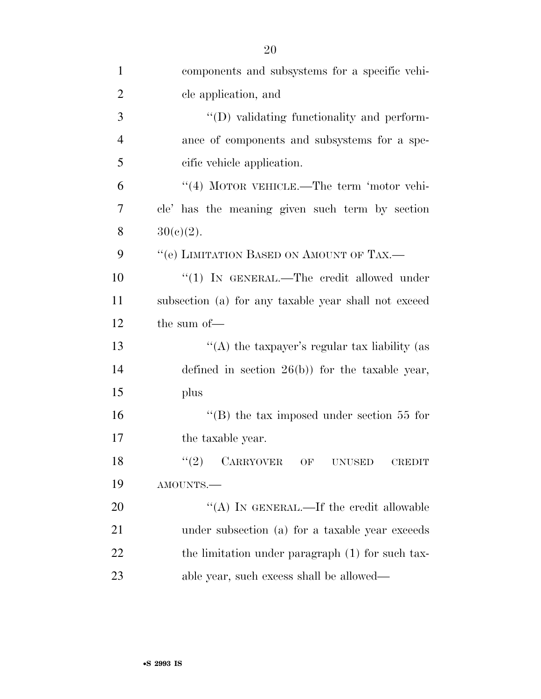| $\mathbf{1}$   | components and subsystems for a specific vehi-        |
|----------------|-------------------------------------------------------|
| $\overline{2}$ | cle application, and                                  |
| 3              | $\lq\lq$ ) validating functionality and perform-      |
| $\overline{4}$ | ance of components and subsystems for a spe-          |
| 5              | cific vehicle application.                            |
| 6              | "(4) MOTOR VEHICLE.—The term 'motor vehi-             |
| 7              | cle' has the meaning given such term by section       |
| 8              | $30(c)(2)$ .                                          |
| 9              | "(e) LIMITATION BASED ON AMOUNT OF TAX.—              |
| 10             | "(1) IN GENERAL.—The credit allowed under             |
| 11             | subsection (a) for any taxable year shall not exceed  |
| 12             | the sum of-                                           |
| 13             | "(A) the taxpayer's regular tax liability (as         |
| 14             | defined in section $26(b)$ for the taxable year,      |
| 15             | plus                                                  |
| 16             | "(B) the tax imposed under section $55$ for           |
| 17             | the taxable year.                                     |
| 18             | CARRYOVER OF<br>(2)<br><b>UNUSED</b><br><b>CREDIT</b> |
| 19             | AMOUNTS.-                                             |
| 20             | "(A) IN GENERAL.—If the credit allowable              |
| 21             | under subsection (a) for a taxable year exceeds       |
| 22             | the limitation under paragraph (1) for such tax-      |
| 23             | able year, such excess shall be allowed—              |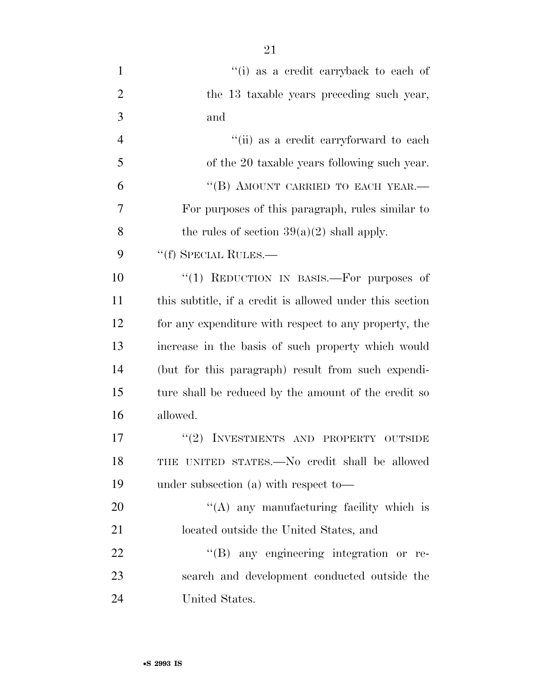| $\mathbf{1}$   | "(i) as a credit carryback to each of                    |
|----------------|----------------------------------------------------------|
| $\overline{2}$ | the 13 taxable years preceding such year,                |
| 3              | and                                                      |
| $\overline{4}$ | "(ii) as a credit carryforward to each                   |
| 5              | of the 20 taxable years following such year.             |
| 6              | "(B) AMOUNT CARRIED TO EACH YEAR.-                       |
| 7              | For purposes of this paragraph, rules similar to         |
| 8              | the rules of section $39(a)(2)$ shall apply.             |
| 9              | "(f) SPECIAL RULES.—                                     |
| 10             | "(1) REDUCTION IN BASIS.—For purposes of                 |
| 11             | this subtitle, if a credit is allowed under this section |
| 12             | for any expenditure with respect to any property, the    |
| 13             | increase in the basis of such property which would       |
| 14             | (but for this paragraph) result from such expendi-       |
| 15             | ture shall be reduced by the amount of the credit so     |
| 16             | allowed.                                                 |
| 17             | (2)<br>INVESTMENTS AND PROPERTY OUTSIDE                  |
| 18             | THE UNITED STATES.—No credit shall be allowed            |
| 19             | under subsection (a) with respect to-                    |
| 20             | $\lq($ A) any manufacturing facility which is            |
| 21             | located outside the United States, and                   |
| 22             | "(B) any engineering integration or re-                  |
| 23             | search and development conducted outside the             |
| 24             | United States.                                           |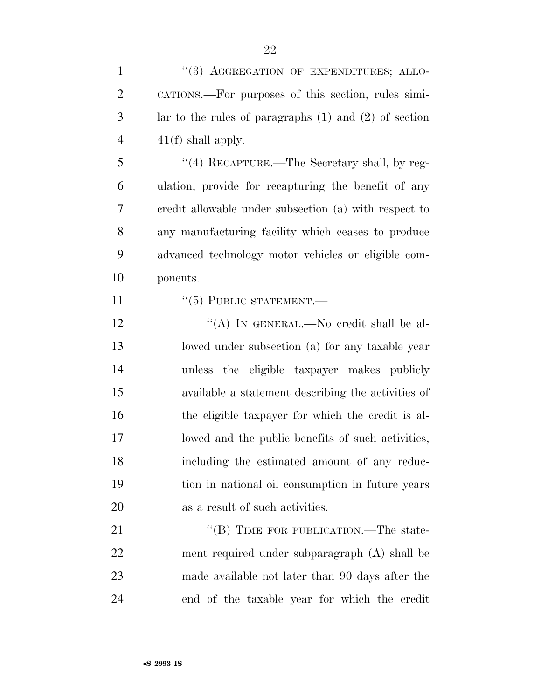| $\mathbf{1}$   | "(3) AGGREGATION OF EXPENDITURES; ALLO-                   |
|----------------|-----------------------------------------------------------|
| $\overline{2}$ | CATIONS.—For purposes of this section, rules simi-        |
| 3              | lar to the rules of paragraphs $(1)$ and $(2)$ of section |
| $\overline{4}$ | $41(f)$ shall apply.                                      |
| 5              | $\cdot$ (4) RECAPTURE.—The Secretary shall, by reg-       |
| 6              | ulation, provide for recapturing the benefit of any       |
| 7              | credit allowable under subsection (a) with respect to     |
| 8              | any manufacturing facility which ceases to produce        |
| 9              | advanced technology motor vehicles or eligible com-       |
| 10             | ponents.                                                  |
| 11             | $``(5)$ PUBLIC STATEMENT.—                                |
| 12             | "(A) IN GENERAL.—No credit shall be al-                   |
| 13             | lowed under subsection (a) for any taxable year           |
| 14             | unless the eligible taxpayer makes publicly               |
| 15             | available a statement describing the activities of        |
| 16             | the eligible taxpayer for which the credit is al-         |
| 17             | lowed and the public benefits of such activities,         |
| 18             | including the estimated amount of any reduc-              |
| 19             | tion in national oil consumption in future years          |
| 20             | as a result of such activities.                           |
| 21             | "(B) TIME FOR PUBLICATION.—The state-                     |
| 22             | ment required under subparagraph (A) shall be             |
| 23             | made available not later than 90 days after the           |
| 24             | end of the taxable year for which the credit              |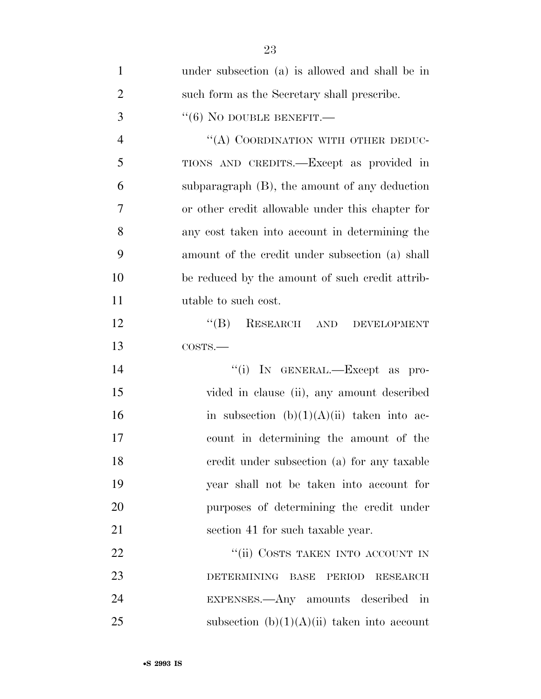| $\mathbf{1}$   | under subsection (a) is allowed and shall be in                |
|----------------|----------------------------------------------------------------|
| $\overline{2}$ | such form as the Secretary shall prescribe.                    |
| 3              | $``(6)$ NO DOUBLE BENEFIT.—                                    |
| $\overline{4}$ | "(A) COORDINATION WITH OTHER DEDUC-                            |
| 5              | TIONS AND CREDITS.—Except as provided in                       |
| 6              | subparagraph $(B)$ , the amount of any deduction               |
| 7              | or other credit allowable under this chapter for               |
| 8              | any cost taken into account in determining the                 |
| 9              | amount of the credit under subsection (a) shall                |
| 10             | be reduced by the amount of such credit attrib-                |
| 11             | utable to such cost.                                           |
| 12             | $\lq\lq (B)$<br>RESEARCH AND<br><b>DEVELOPMENT</b>             |
| 13             | COSTS.                                                         |
| 14             | "(i) IN GENERAL.—Except as pro-                                |
| 15             | vided in clause (ii), any amount described                     |
| 16             | in subsection $(b)(1)(A)(ii)$ taken into ac-                   |
| 17             | count in determining the amount of the                         |
| 18             | eredit under subsection (a) for any taxable                    |
| 19             | year shall not be taken into account for                       |
| 20             | purposes of determining the credit under                       |
| 21             | section 41 for such taxable year.                              |
| 22             | "(ii) COSTS TAKEN INTO ACCOUNT IN                              |
| 23             | <b>DETERMINING</b><br><b>BASE</b><br>PERIOD<br><b>RESEARCH</b> |
| 24             | EXPENSES.—Any amounts described in                             |
| 25             | subsection $(b)(1)(A)(ii)$ taken into account                  |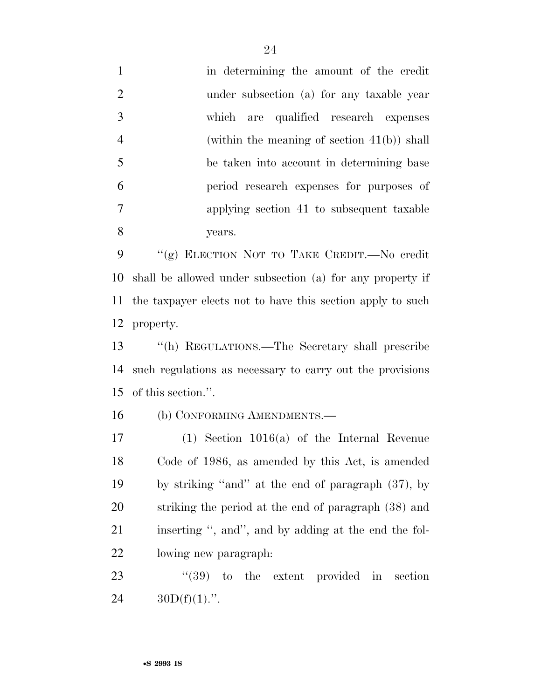in determining the amount of the credit under subsection (a) for any taxable year which are qualified research expenses (within the meaning of section 41(b)) shall be taken into account in determining base period research expenses for purposes of applying section 41 to subsequent taxable years.

 ''(g) ELECTION NOT TO TAKE CREDIT.—No credit shall be allowed under subsection (a) for any property if the taxpayer elects not to have this section apply to such property.

 ''(h) REGULATIONS.—The Secretary shall prescribe such regulations as necessary to carry out the provisions of this section.''.

(b) CONFORMING AMENDMENTS.—

 (1) Section 1016(a) of the Internal Revenue Code of 1986, as amended by this Act, is amended by striking ''and'' at the end of paragraph (37), by striking the period at the end of paragraph (38) and inserting '', and'', and by adding at the end the fol-lowing new paragraph:

23 "(39) to the extent provided in section 24  $30D(f)(1)$ .".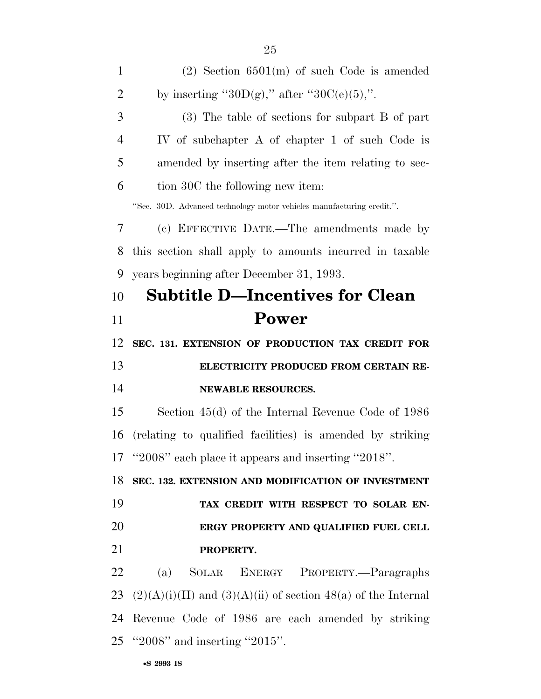| $\mathbf{1}$   | $(2)$ Section 6501(m) of such Code is amended                         |
|----------------|-----------------------------------------------------------------------|
| $\overline{2}$ | by inserting " $30D(g)$ ," after " $30C(e)(5)$ ,".                    |
| 3              | $(3)$ The table of sections for subpart B of part                     |
| $\overline{4}$ | IV of subchapter A of chapter 1 of such Code is                       |
| 5              | amended by inserting after the item relating to sec-                  |
| 6              | tion 30C the following new item:                                      |
|                | "Sec. 30D. Advanced technology motor vehicles manufacturing credit.". |
| 7              | (c) EFFECTIVE DATE.—The amendments made by                            |
| 8              | this section shall apply to amounts incurred in taxable               |
| 9              | years beginning after December 31, 1993.                              |
| 10             | <b>Subtitle D-Incentives for Clean</b>                                |
| 11             | Power                                                                 |
| 12             | SEC. 131. EXTENSION OF PRODUCTION TAX CREDIT FOR                      |
| 13             | ELECTRICITY PRODUCED FROM CERTAIN RE-                                 |
| 14             | NEWABLE RESOURCES.                                                    |
| 15             | Section $45(d)$ of the Internal Revenue Code of 1986                  |
| 16             | (relating to qualified facilities) is amended by striking             |
|                | 17 "2008" each place it appears and inserting "2018".                 |
| 18             | SEC. 132. EXTENSION AND MODIFICATION OF INVESTMENT                    |
| 19             | TAX CREDIT WITH RESPECT TO SOLAR EN-                                  |
| 20             | ERGY PROPERTY AND QUALIFIED FUEL CELL                                 |
| 21             | PROPERTY.                                                             |
| 22             | SOLAR ENERGY PROPERTY.-Paragraphs<br>(a)                              |
|                |                                                                       |

23 (2)(A)(i)(II) and (3)(A)(ii) of section 48(a) of the Internal Revenue Code of 1986 are each amended by striking ''2008'' and inserting ''2015''.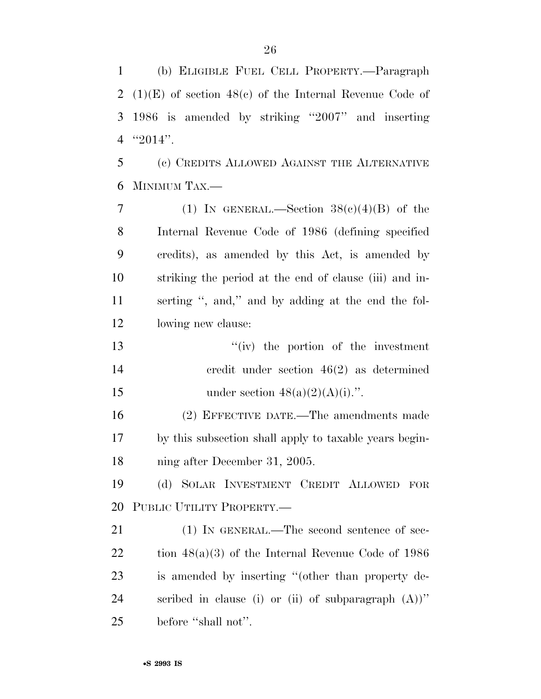(b) ELIGIBLE FUEL CELL PROPERTY.—Paragraph (1)(E) of section 48(c) of the Internal Revenue Code of 1986 is amended by striking ''2007'' and inserting ''2014''. (c) CREDITS ALLOWED AGAINST THE ALTERNATIVE MINIMUM TAX.— 7 (1) IN GENERAL.—Section  $38(c)(4)(B)$  of the Internal Revenue Code of 1986 (defining specified

 credits), as amended by this Act, is amended by striking the period at the end of clause (iii) and in- serting '', and,'' and by adding at the end the fol-lowing new clause:

13 ''(iv) the portion of the investment credit under section 46(2) as determined 15 under section  $48(a)(2)(A)(i)$ .".

 (2) EFFECTIVE DATE.—The amendments made by this subsection shall apply to taxable years begin-ning after December 31, 2005.

 (d) SOLAR INVESTMENT CREDIT ALLOWED FOR PUBLIC UTILITY PROPERTY.—

21 (1) IN GENERAL.—The second sentence of sec- tion 48(a)(3) of the Internal Revenue Code of 1986 is amended by inserting ''(other than property de- scribed in clause (i) or (ii) of subparagraph (A))'' 25 before "shall not".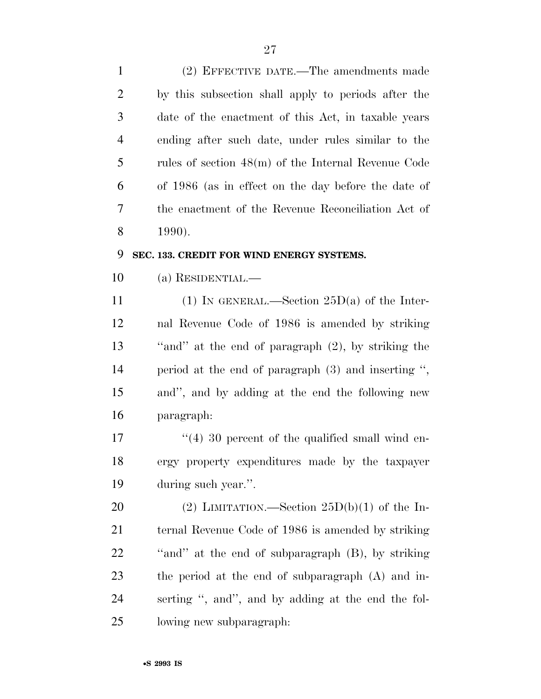| $\mathbf{1}$   | (2) EFFECTIVE DATE.—The amendments made               |
|----------------|-------------------------------------------------------|
| 2              | by this subsection shall apply to periods after the   |
| 3              | date of the enactment of this Act, in taxable years   |
| $\overline{4}$ | ending after such date, under rules similar to the    |
| 5              | rules of section $48(m)$ of the Internal Revenue Code |
| 6              | of 1986 (as in effect on the day before the date of   |
| 7              | the enactment of the Revenue Reconciliation Act of    |
| 8              | 1990).                                                |

#### **SEC. 133. CREDIT FOR WIND ENERGY SYSTEMS.**

(a) RESIDENTIAL.—

11 (1) IN GENERAL.—Section  $25D(a)$  of the Inter- nal Revenue Code of 1986 is amended by striking ''and'' at the end of paragraph (2), by striking the period at the end of paragraph (3) and inserting '', and'', and by adding at the end the following new paragraph:

17 ''(4) 30 percent of the qualified small wind en- ergy property expenditures made by the taxpayer during such year.''.

20 (2) LIMITATION.—Section  $25D(b)(1)$  of the In- ternal Revenue Code of 1986 is amended by striking ''and'' at the end of subparagraph (B), by striking the period at the end of subparagraph (A) and in- serting '', and'', and by adding at the end the fol-lowing new subparagraph: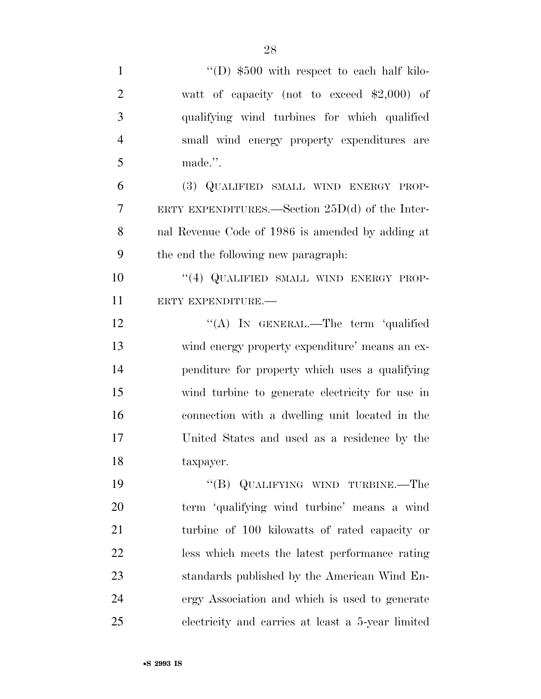| $\mathbf{1}$   | "(D) $$500$ with respect to each half kilo-       |
|----------------|---------------------------------------------------|
| $\overline{2}$ | watt of capacity (not to exceed $$2,000$ ) of     |
| 3              | qualifying wind turbines for which qualified      |
| $\overline{4}$ | small wind energy property expenditures are       |
| 5              | made.".                                           |
| 6              | (3) QUALIFIED SMALL WIND ENERGY PROP-             |
| $\overline{7}$ | ERTY EXPENDITURES.—Section $25D(d)$ of the Inter- |
| 8              | nal Revenue Code of 1986 is amended by adding at  |
| 9              | the end the following new paragraph.              |
| 10             | "(4) QUALIFIED SMALL WIND ENERGY PROP-            |
| 11             | ERTY EXPENDITURE.-                                |
| 12             | "(A) IN GENERAL.—The term 'qualified              |
| 13             | wind energy property expenditure' means an ex-    |
| 14             | penditure for property which uses a qualifying    |
| 15             | wind turbine to generate electricity for use in   |
| 16             | connection with a dwelling unit located in the    |
| 17             | United States and used as a residence by the      |
| 18             | taxpayer.                                         |
| 19             | "(B) QUALIFYING WIND TURBINE.—The                 |
| 20             | term 'qualifying wind turbine' means a wind       |
| 21             | turbine of 100 kilowatts of rated capacity or     |
| 22             | less which meets the latest performance rating    |
| 23             | standards published by the American Wind En-      |
| 24             | ergy Association and which is used to generate    |
| 25             | electricity and carries at least a 5-year limited |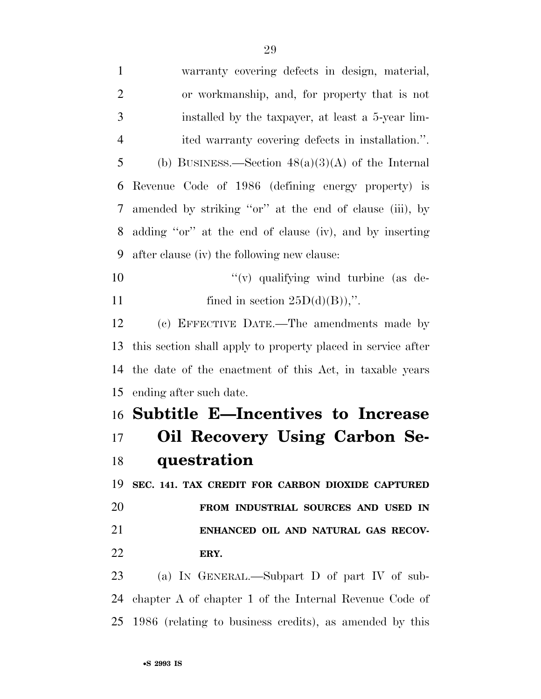| $\mathbf{1}$   | warranty covering defects in design, material,               |
|----------------|--------------------------------------------------------------|
| $\overline{2}$ | or workmanship, and, for property that is not                |
| 3              | installed by the taxpayer, at least a 5-year lim-            |
| $\overline{4}$ | ited warranty covering defects in installation.".            |
| 5              | (b) BUSINESS.—Section $48(a)(3)(A)$ of the Internal          |
| 6              | Revenue Code of 1986 (defining energy property) is           |
| 7              | amended by striking "or" at the end of clause (iii), by      |
| 8              | adding "or" at the end of clause (iv), and by inserting      |
| 9              | after clause (iv) the following new clause:                  |
| 10             | "(v) qualifying wind turbine (as de-                         |
| 11             | fined in section $25D(d)(B)$ ,".                             |
| 12             | (c) EFFECTIVE DATE.—The amendments made by                   |
| 13             | this section shall apply to property placed in service after |
| 14             | the date of the enactment of this Act, in taxable years      |
| 15             | ending after such date.                                      |
|                | 16 Subtitle E-Incentives to Increase                         |
| $17\,$         | Oil Recovery Using Carbon Se-                                |
| 18             | questration                                                  |
| 19             | SEC. 141. TAX CREDIT FOR CARBON DIOXIDE CAPTURED             |
| 20             | FROM INDUSTRIAL SOURCES AND USED IN                          |
| 21             | ENHANCED OIL AND NATURAL GAS RECOV-                          |
| 22             | ERY.                                                         |
| 23             | (a) IN GENERAL.—Subpart D of part IV of sub-                 |
| 24             | chapter A of chapter 1 of the Internal Revenue Code of       |
| 25             | 1986 (relating to business credits), as amended by this      |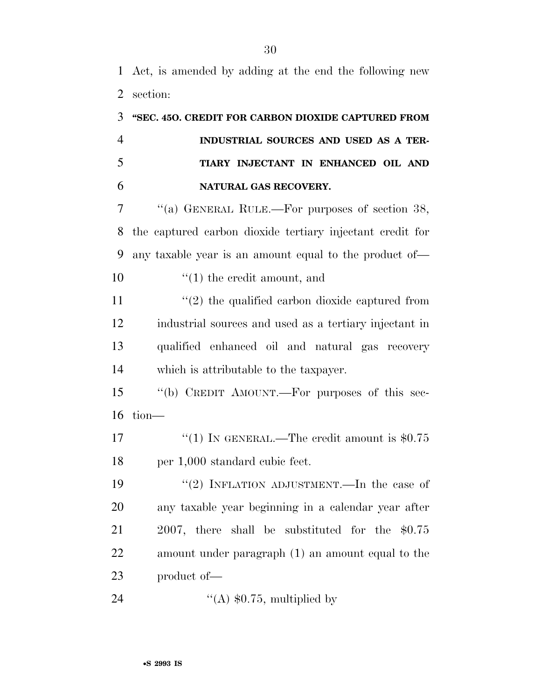Act, is amended by adding at the end the following new section:

|                | 3 "SEC. 450. CREDIT FOR CARBON DIOXIDE CAPTURED FROM |
|----------------|------------------------------------------------------|
| $\overline{4}$ | INDUSTRIAL SOURCES AND USED AS A TER-                |
| 5              | TIARY INJECTANT IN ENHANCED OIL AND                  |
| 6              | NATURAL GAS RECOVERY.                                |

 ''(a) GENERAL RULE.—For purposes of section 38, the captured carbon dioxide tertiary injectant credit for any taxable year is an amount equal to the product of—  $\qquad (1)$  the credit amount, and

 $\frac{1}{2}$  the qualified carbon dioxide captured from industrial sources and used as a tertiary injectant in qualified enhanced oil and natural gas recovery which is attributable to the taxpayer.

 ''(b) CREDIT AMOUNT.—For purposes of this sec-tion—

17  $\frac{17}{2}$   $\frac{17}{2}$  IN GENERAL.—The credit amount is \$0.75 per 1,000 standard cubic feet.

 ''(2) INFLATION ADJUSTMENT.—In the case of any taxable year beginning in a calendar year after 2007, there shall be substituted for the \$0.75 amount under paragraph (1) an amount equal to the product of—

24  $\text{``(A) $0.75, multiplied by}$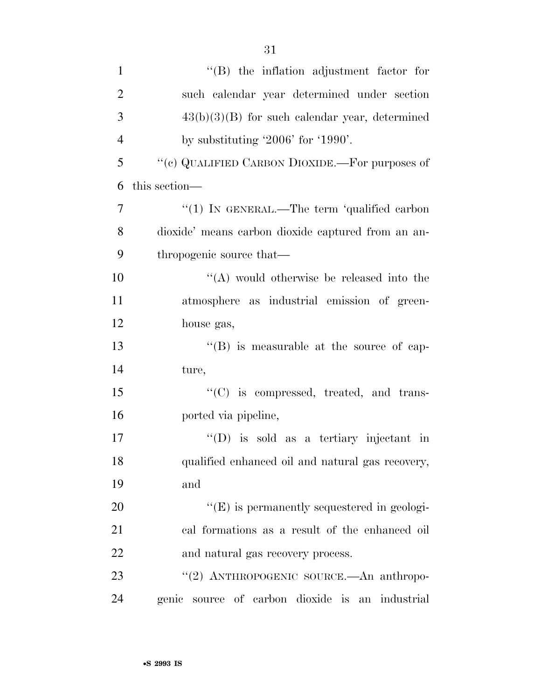| $\mathbf{1}$   | $\lq\lq$ the inflation adjustment factor for        |
|----------------|-----------------------------------------------------|
| $\overline{2}$ | such calendar year determined under section         |
| 3              | $43(b)(3)(B)$ for such calendar year, determined    |
| $\overline{4}$ | by substituting $2006'$ for $1990'$ .               |
| 5              | "(c) QUALIFIED CARBON DIOXIDE.—For purposes of      |
| 6              | this section—                                       |
| 7              | " $(1)$ IN GENERAL.—The term 'qualified carbon      |
| 8              | dioxide' means carbon dioxide captured from an an-  |
| 9              | thropogenic source that—                            |
| 10             | $\lq\lq$ would otherwise be released into the       |
| 11             | atmosphere as industrial emission of green-         |
| 12             | house gas,                                          |
| 13             | $\lq\lq$ is measurable at the source of cap-        |
| 14             | ture,                                               |
| 15             | "(C) is compressed, treated, and trans-             |
| 16             | ported via pipeline,                                |
| 17             | $\lq\lq$ (D) is sold as a tertiary injectant in     |
| 18             | qualified enhanced oil and natural gas recovery,    |
| 19             | and                                                 |
| 20             | $\lq\lq$ (E) is permanently sequestered in geologi- |
| 21             | cal formations as a result of the enhanced oil      |
| 22             | and natural gas recovery process.                   |
| 23             | "(2) ANTHROPOGENIC SOURCE.—An anthropo-             |
| 24             | genic source of carbon dioxide is an industrial     |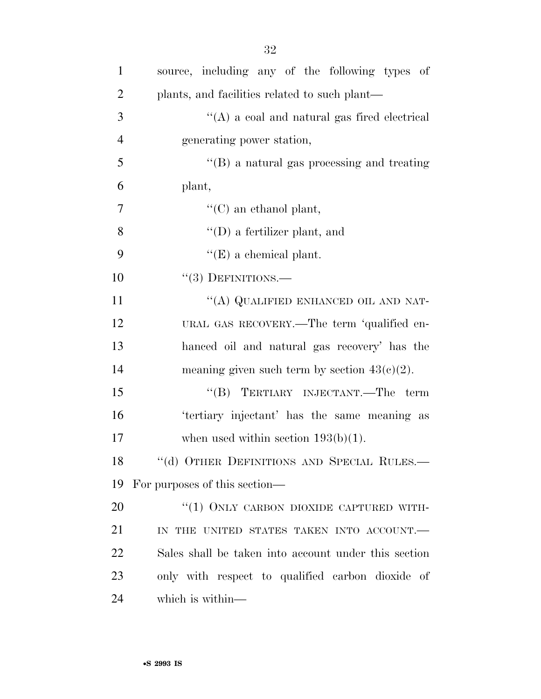| $\mathbf{1}$   | source, including any of the following types of      |
|----------------|------------------------------------------------------|
| $\overline{2}$ | plants, and facilities related to such plant—        |
| 3              | $\lq\lq$ (A) a coal and natural gas fired electrical |
| $\overline{4}$ | generating power station,                            |
| 5              | $\lq\lq (B)$ a natural gas processing and treating   |
| 6              | plant,                                               |
| $\overline{7}$ | $\lq\lq$ (C) an ethanol plant,                       |
| 8              | $\lq\lq$ (D) a fertilizer plant, and                 |
| 9              | $\lq\lq(E)$ a chemical plant.                        |
| 10             | $``(3)$ DEFINITIONS.—                                |
| 11             | "(A) QUALIFIED ENHANCED OIL AND NAT-                 |
| 12             | URAL GAS RECOVERY.—The term 'qualified en-           |
| 13             | hanced oil and natural gas recovery' has the         |
| 14             | meaning given such term by section $43(c)(2)$ .      |
| 15             | "(B) TERTIARY INJECTANT.—The term                    |
| 16             | 'tertiary injectant' has the same meaning as         |
| 17             | when used within section $193(b)(1)$ .               |
| 18             | "(d) OTHER DEFINITIONS AND SPECIAL RULES.            |
| 19             | For purposes of this section—                        |
| 20             | "(1) ONLY CARBON DIOXIDE CAPTURED WITH-              |
| 21             | IN THE UNITED STATES TAKEN INTO ACCOUNT.             |
| 22             | Sales shall be taken into account under this section |
| 23             | only with respect to qualified carbon dioxide of     |
| 24             | which is within—                                     |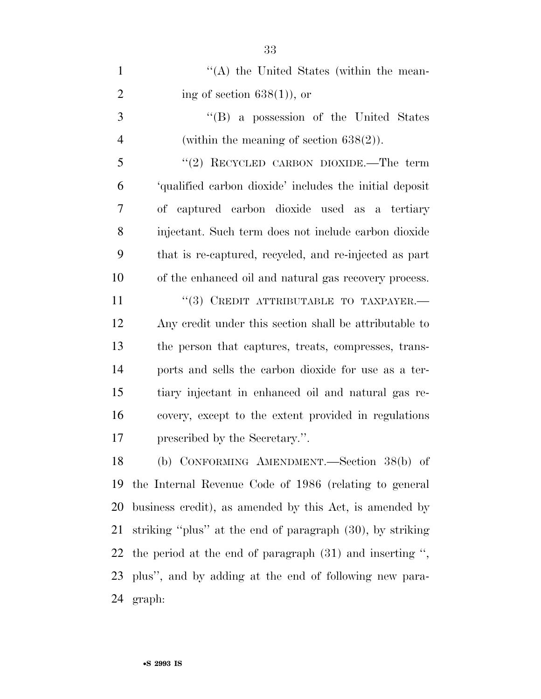| $\mathbf{1}$   | "(A) the United States (within the mean-                   |
|----------------|------------------------------------------------------------|
| $\overline{2}$ | ing of section $638(1)$ , or                               |
| 3              | "(B) a possession of the United States                     |
| $\overline{4}$ | (within the meaning of section $638(2)$ ).                 |
| 5              | "(2) RECYCLED CARBON DIOXIDE.—The term                     |
| 6              | 'qualified carbon dioxide' includes the initial deposit    |
| 7              | of captured carbon dioxide used as a tertiary              |
| 8              | injectant. Such term does not include carbon dioxide       |
| 9              | that is re-captured, recycled, and re-injected as part     |
| 10             | of the enhanced oil and natural gas recovery process.      |
| 11             | $``(3)$ CREDIT ATTRIBUTABLE TO TAXPAYER.                   |
| 12             | Any credit under this section shall be attributable to     |
| 13             | the person that captures, treats, compresses, trans-       |
| 14             | ports and sells the carbon dioxide for use as a ter-       |
| 15             | tiary injectant in enhanced oil and natural gas re-        |
| 16             | covery, except to the extent provided in regulations       |
| 17             | prescribed by the Secretary.".                             |
| 18             | (b) CONFORMING AMENDMENT.—Section 38(b) of                 |
| 19             | the Internal Revenue Code of 1986 (relating to general     |
| 20             | business credit), as amended by this Act, is amended by    |
| 21             | striking "plus" at the end of paragraph (30), by striking  |
| 22             | the period at the end of paragraph $(31)$ and inserting ", |
|                | 23 plus", and by adding at the end of following new para-  |
| 24             | graph:                                                     |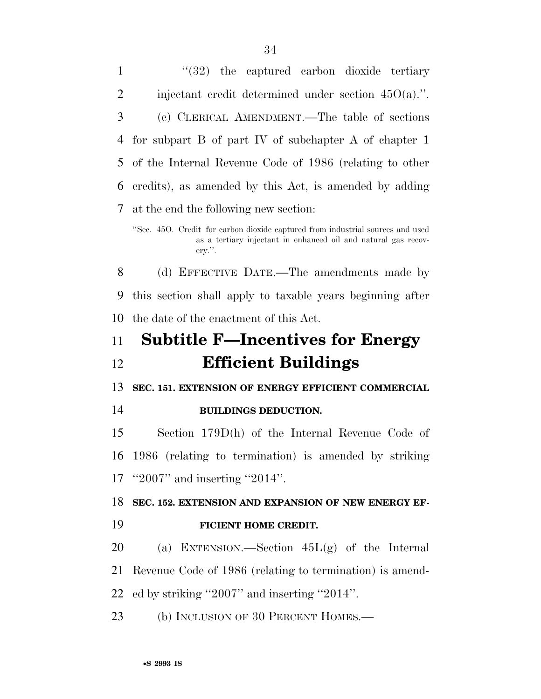1 ''(32) the captured carbon dioxide tertiary 2 injectant credit determined under section  $45O(a)$ .". (c) CLERICAL AMENDMENT.—The table of sections for subpart B of part IV of subchapter A of chapter 1 of the Internal Revenue Code of 1986 (relating to other credits), as amended by this Act, is amended by adding at the end the following new section: ''Sec. 45O. Credit for carbon dioxide captured from industrial sources and used as a tertiary injectant in enhanced oil and natural gas recovery.''. (d) EFFECTIVE DATE.—The amendments made by this section shall apply to taxable years beginning after the date of the enactment of this Act. **Subtitle F—Incentives for Energy Efficient Buildings SEC. 151. EXTENSION OF ENERGY EFFICIENT COMMERCIAL BUILDINGS DEDUCTION.**  Section 179D(h) of the Internal Revenue Code of 1986 (relating to termination) is amended by striking ''2007'' and inserting ''2014''. **SEC. 152. EXTENSION AND EXPANSION OF NEW ENERGY EF- FICIENT HOME CREDIT.**  (a) EXTENSION.—Section 45L(g) of the Internal Revenue Code of 1986 (relating to termination) is amend- ed by striking ''2007'' and inserting ''2014''. 23 (b) INCLUSION OF 30 PERCENT HOMES.—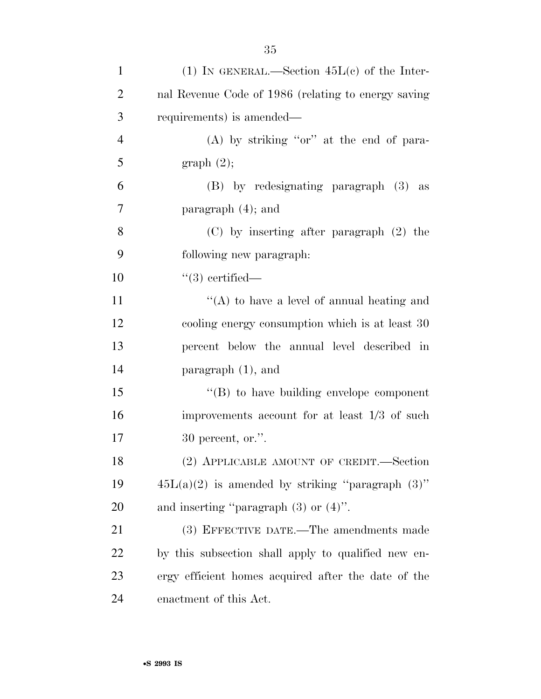| $\mathbf{1}$   | (1) IN GENERAL.—Section $45L(e)$ of the Inter-        |
|----------------|-------------------------------------------------------|
| $\overline{2}$ | nal Revenue Code of 1986 (relating to energy saving   |
| 3              | requirements) is amended—                             |
| $\overline{4}$ | $(A)$ by striking "or" at the end of para-            |
| 5              | graph(2);                                             |
| 6              | (B) by redesignating paragraph (3) as                 |
| 7              | paragraph $(4)$ ; and                                 |
| 8              | $(C)$ by inserting after paragraph $(2)$ the          |
| 9              | following new paragraph:                              |
| 10             | $"(3)$ certified—                                     |
| 11             | "(A) to have a level of annual heating and            |
| 12             | cooling energy consumption which is at least 30       |
| 13             | percent below the annual level described in           |
| 14             | paragraph $(1)$ , and                                 |
| 15             | $\lq\lq (B)$ to have building envelope component      |
| 16             | improvements account for at least 1/3 of such         |
| 17             | $30$ percent, or.".                                   |
| 18             | (2) APPLICABLE AMOUNT OF CREDIT.—Section              |
| 19             | $45L(a)(2)$ is amended by striking "paragraph $(3)$ " |
| 20             | and inserting "paragraph $(3)$ or $(4)$ ".            |
| 21             | (3) EFFECTIVE DATE.—The amendments made               |
| 22             | by this subsection shall apply to qualified new en-   |
| 23             | ergy efficient homes acquired after the date of the   |
| 24             | enactment of this Act.                                |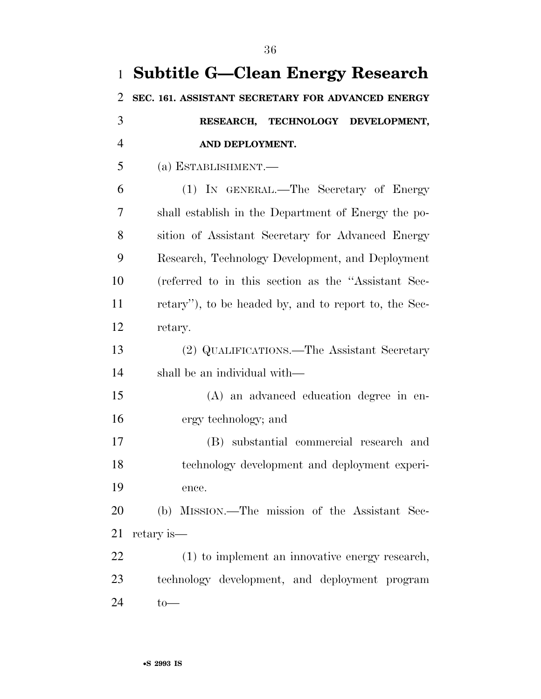| 1              | <b>Subtitle G-Clean Energy Research</b>              |
|----------------|------------------------------------------------------|
| $\overline{2}$ | SEC. 161. ASSISTANT SECRETARY FOR ADVANCED ENERGY    |
| 3              | RESEARCH, TECHNOLOGY DEVELOPMENT,                    |
| $\overline{4}$ | AND DEPLOYMENT.                                      |
| 5              | (a) ESTABLISHMENT.-                                  |
| 6              | (1) IN GENERAL.—The Secretary of Energy              |
| 7              | shall establish in the Department of Energy the po-  |
| 8              | sition of Assistant Secretary for Advanced Energy    |
| 9              | Research, Technology Development, and Deployment     |
| 10             | (referred to in this section as the "Assistant Sec-  |
| 11             | retary", to be headed by, and to report to, the Sec- |
| 12             | retary.                                              |
| 13             | (2) QUALIFICATIONS.—The Assistant Secretary          |
| 14             | shall be an individual with—                         |
| 15             | (A) an advanced education degree in en-              |
| 16             | ergy technology; and                                 |
| 17             | (B) substantial commercial research and              |
| 18             | technology development and deployment experi-        |
| 19             | ence.                                                |
| 20             | (b) MISSION.—The mission of the Assistant Sec-       |
| 21             | retary is—                                           |
| 22             | (1) to implement an innovative energy research,      |
| 23             | technology development, and deployment program       |
| 24             | $to-$                                                |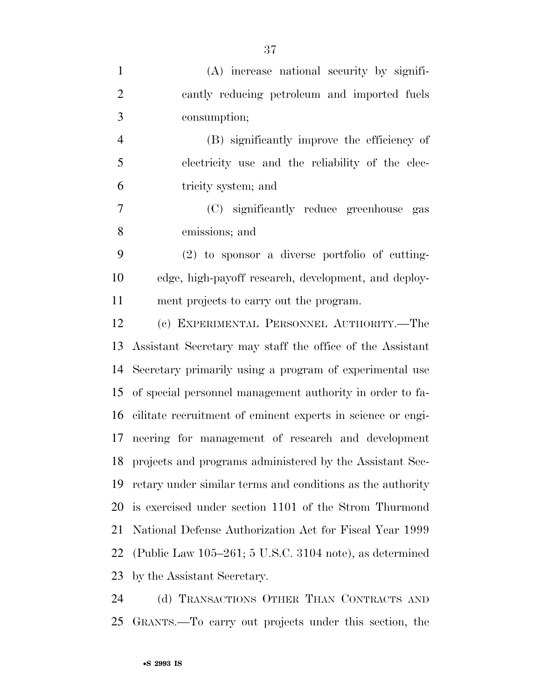| $\mathbf{1}$   | (A) increase national security by signifi-                  |
|----------------|-------------------------------------------------------------|
| $\overline{2}$ | cantly reducing petroleum and imported fuels                |
| 3              | consumption;                                                |
| $\overline{4}$ | (B) significantly improve the efficiency of                 |
| 5              | electricity use and the reliability of the elec-            |
| 6              | tricity system; and                                         |
| $\tau$         | (C) significantly reduce greenhouse gas                     |
| 8              | emissions; and                                              |
| 9              | $(2)$ to sponsor a diverse portfolio of cutting-            |
| 10             | edge, high-payoff research, development, and deploy-        |
| 11             | ment projects to carry out the program.                     |
| 12             | (c) EXPERIMENTAL PERSONNEL AUTHORITY.—The                   |
| 13             | Assistant Secretary may staff the office of the Assistant   |
| 14             | Secretary primarily using a program of experimental use     |
| 15             | of special personnel management authority in order to fa-   |
| 16             | cilitate recruitment of eminent experts in science or engi- |
| 17             | neering for management of research and development          |
| 18             | projects and programs administered by the Assistant Sec-    |
| 19             | retary under similar terms and conditions as the authority  |
| 20             | is exercised under section 1101 of the Strom Thurmond       |
| 21             | National Defense Authorization Act for Fiscal Year 1999     |
| 22             | (Public Law $105-261$ ; 5 U.S.C. 3104 note), as determined  |
| 23             | by the Assistant Secretary.                                 |
|                |                                                             |

 (d) TRANSACTIONS OTHER THAN CONTRACTS AND GRANTS.—To carry out projects under this section, the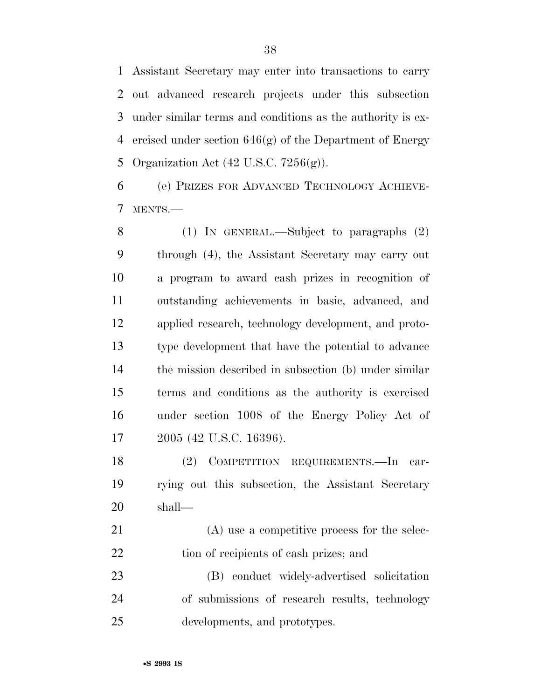Assistant Secretary may enter into transactions to carry out advanced research projects under this subsection under similar terms and conditions as the authority is ex- ercised under section 646(g) of the Department of Energy Organization Act (42 U.S.C. 7256(g)).

 (e) PRIZES FOR ADVANCED TECHNOLOGY ACHIEVE-MENTS.—

 (1) IN GENERAL.—Subject to paragraphs (2) through (4), the Assistant Secretary may carry out a program to award cash prizes in recognition of outstanding achievements in basic, advanced, and applied research, technology development, and proto- type development that have the potential to advance the mission described in subsection (b) under similar terms and conditions as the authority is exercised under section 1008 of the Energy Policy Act of 2005 (42 U.S.C. 16396).

 (2) COMPETITION REQUIREMENTS.—In car- rying out this subsection, the Assistant Secretary shall—

 (A) use a competitive process for the selec-22 tion of recipients of cash prizes; and

 (B) conduct widely-advertised solicitation of submissions of research results, technology developments, and prototypes.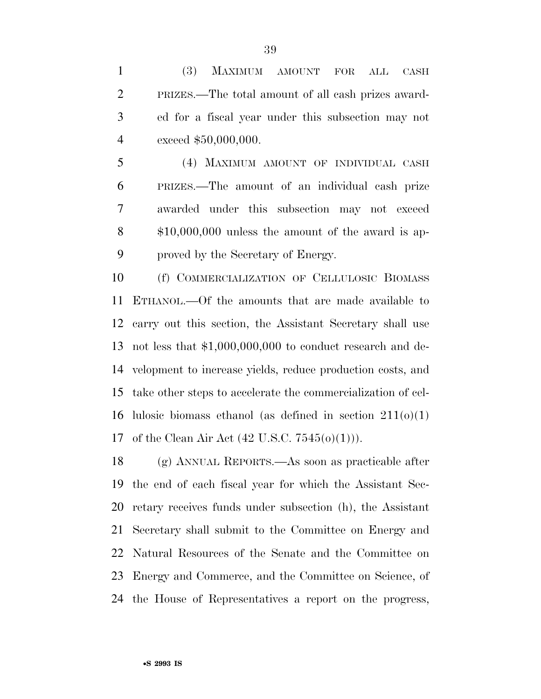(3) MAXIMUM AMOUNT FOR ALL CASH PRIZES.—The total amount of all cash prizes award- ed for a fiscal year under this subsection may not exceed \$50,000,000.

 (4) MAXIMUM AMOUNT OF INDIVIDUAL CASH PRIZES.—The amount of an individual cash prize awarded under this subsection may not exceed \$10,000,000 unless the amount of the award is ap-proved by the Secretary of Energy.

 (f) COMMERCIALIZATION OF CELLULOSIC BIOMASS ETHANOL.—Of the amounts that are made available to carry out this section, the Assistant Secretary shall use not less that \$1,000,000,000 to conduct research and de- velopment to increase yields, reduce production costs, and take other steps to accelerate the commercialization of cel-16 lulosic biomass ethanol (as defined in section  $211(0)(1)$ ) of the Clean Air Act (42 U.S.C. 7545(o)(1))).

 (g) ANNUAL REPORTS.—As soon as practicable after the end of each fiscal year for which the Assistant Sec- retary receives funds under subsection (h), the Assistant Secretary shall submit to the Committee on Energy and Natural Resources of the Senate and the Committee on Energy and Commerce, and the Committee on Science, of the House of Representatives a report on the progress,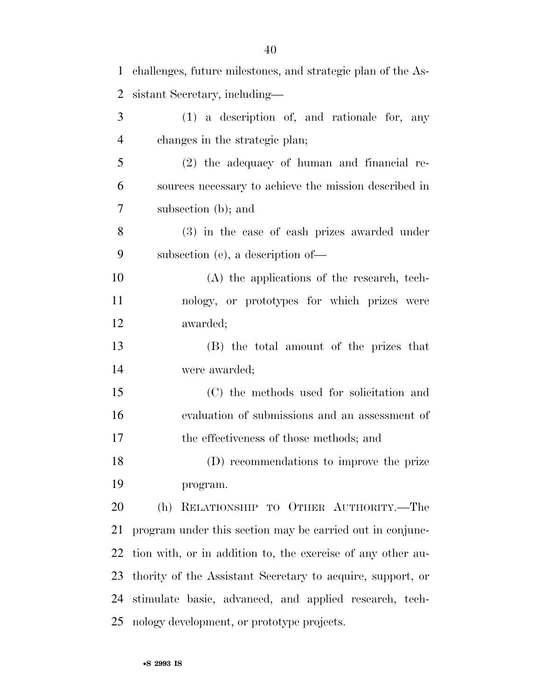| $\mathbf{1}$   | challenges, future milestones, and strategic plan of the As- |
|----------------|--------------------------------------------------------------|
| $\overline{2}$ | sistant Secretary, including—                                |
| 3              | (1) a description of, and rationale for, any                 |
| $\overline{4}$ | changes in the strategic plan;                               |
| 5              | $(2)$ the adequacy of human and financial re-                |
| 6              | sources necessary to achieve the mission described in        |
| $\tau$         | subsection (b); and                                          |
| 8              | (3) in the case of cash prizes awarded under                 |
| 9              | subsection (e), a description of-                            |
| 10             | (A) the applications of the research, tech-                  |
| 11             | nology, or prototypes for which prizes were                  |
| 12             | awarded;                                                     |
| 13             | (B) the total amount of the prizes that                      |
| 14             | were awarded;                                                |
| 15             | (C) the methods used for solicitation and                    |
| 16             | evaluation of submissions and an assessment of               |
| 17             | the effectiveness of those methods; and                      |
| 18             | (D) recommendations to improve the prize                     |
| 19             | program.                                                     |
| 20             | RELATIONSHIP TO OTHER AUTHORITY.-The<br>(h)                  |
| 21             | program under this section may be carried out in conjunc-    |
| 22             | tion with, or in addition to, the exercise of any other au-  |
| 23             | thority of the Assistant Secretary to acquire, support, or   |
| 24             | stimulate basic, advanced, and applied research, tech-       |
| 25             | nology development, or prototype projects.                   |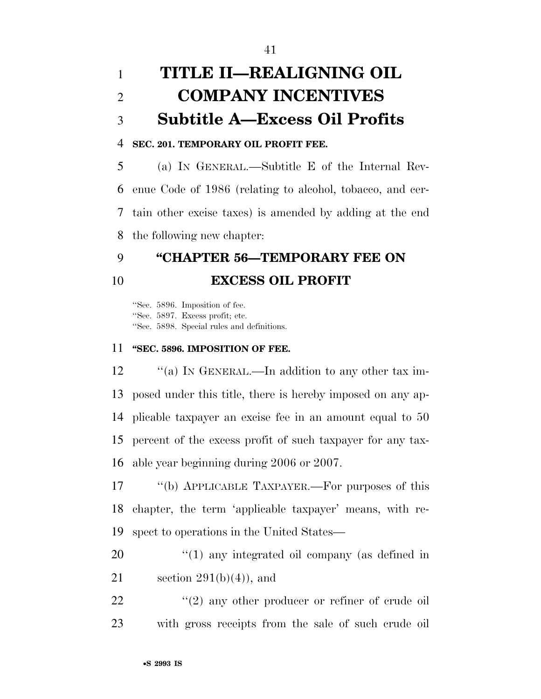# **TITLE II—REALIGNING OIL COMPANY INCENTIVES Subtitle A—Excess Oil Profits**

#### **SEC. 201. TEMPORARY OIL PROFIT FEE.**

 (a) IN GENERAL.—Subtitle E of the Internal Rev- enue Code of 1986 (relating to alcohol, tobacco, and cer- tain other excise taxes) is amended by adding at the end the following new chapter:

### **''CHAPTER 56—TEMPORARY FEE ON EXCESS OIL PROFIT**

''Sec. 5896. Imposition of fee. ''Sec. 5897. Excess profit; etc. ''Sec. 5898. Special rules and definitions.

#### **''SEC. 5896. IMPOSITION OF FEE.**

12 "(a) In GENERAL.—In addition to any other tax im- posed under this title, there is hereby imposed on any ap- plicable taxpayer an excise fee in an amount equal to 50 percent of the excess profit of such taxpayer for any tax-able year beginning during 2006 or 2007.

 ''(b) APPLICABLE TAXPAYER.—For purposes of this chapter, the term 'applicable taxpayer' means, with re-spect to operations in the United States—

20 "(1) any integrated oil company (as defined in 21 section  $291(b)(4)$ , and

22  $(2)$  any other producer or refiner of crude oil with gross receipts from the sale of such crude oil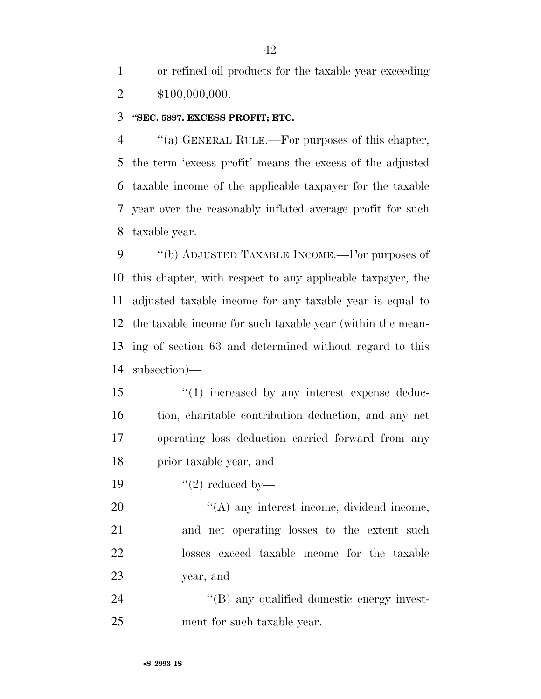or refined oil products for the taxable year exceeding \$100,000,000.

#### **''SEC. 5897. EXCESS PROFIT; ETC.**

 ''(a) GENERAL RULE.—For purposes of this chapter, the term 'excess profit' means the excess of the adjusted taxable income of the applicable taxpayer for the taxable year over the reasonably inflated average profit for such taxable year.

9 "(b) ADJUSTED TAXABLE INCOME.—For purposes of this chapter, with respect to any applicable taxpayer, the adjusted taxable income for any taxable year is equal to the taxable income for such taxable year (within the mean- ing of section 63 and determined without regard to this subsection)—

 $\frac{1}{2}$  (1) increased by any interest expense deduc- tion, charitable contribution deduction, and any net operating loss deduction carried forward from any prior taxable year, and

19  $\frac{1}{2}$  reduced by

20 "(A) any interest income, dividend income, and net operating losses to the extent such losses exceed taxable income for the taxable year, and

24  $\langle$  (B) any qualified domestic energy invest-ment for such taxable year.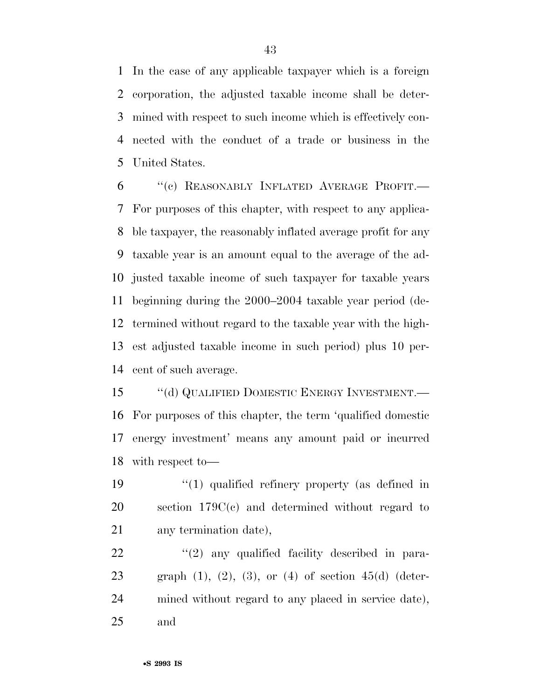In the case of any applicable taxpayer which is a foreign corporation, the adjusted taxable income shall be deter- mined with respect to such income which is effectively con- nected with the conduct of a trade or business in the United States.

 ''(c) REASONABLY INFLATED AVERAGE PROFIT.— For purposes of this chapter, with respect to any applica- ble taxpayer, the reasonably inflated average profit for any taxable year is an amount equal to the average of the ad- justed taxable income of such taxpayer for taxable years beginning during the 2000–2004 taxable year period (de- termined without regard to the taxable year with the high- est adjusted taxable income in such period) plus 10 per-cent of such average.

15 "(d) QUALIFIED DOMESTIC ENERGY INVESTMENT.— For purposes of this chapter, the term 'qualified domestic energy investment' means any amount paid or incurred with respect to—

19  $\frac{1}{2}$  (1) qualified refinery property (as defined in section 179C(c) and determined without regard to any termination date),

22  $\frac{1}{2}$  any qualified facility described in para-23 graph  $(1)$ ,  $(2)$ ,  $(3)$ , or  $(4)$  of section  $45(d)$  (deter- mined without regard to any placed in service date), and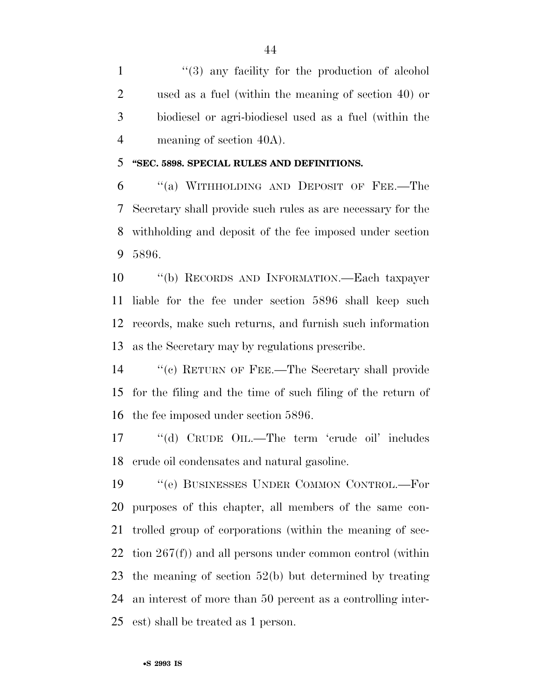1 ''(3) any facility for the production of alcohol used as a fuel (within the meaning of section 40) or biodiesel or agri-biodiesel used as a fuel (within the meaning of section 40A).

#### **''SEC. 5898. SPECIAL RULES AND DEFINITIONS.**

 ''(a) WITHHOLDING AND DEPOSIT OF FEE.—The Secretary shall provide such rules as are necessary for the withholding and deposit of the fee imposed under section 5896.

 ''(b) RECORDS AND INFORMATION.—Each taxpayer liable for the fee under section 5896 shall keep such records, make such returns, and furnish such information as the Secretary may by regulations prescribe.

 ''(c) RETURN OF FEE.—The Secretary shall provide for the filing and the time of such filing of the return of the fee imposed under section 5896.

17 "(d) CRUDE OIL.—The term 'crude oil' includes crude oil condensates and natural gasoline.

 ''(e) BUSINESSES UNDER COMMON CONTROL.—For purposes of this chapter, all members of the same con- trolled group of corporations (within the meaning of sec- tion  $267(f)$  and all persons under common control (within the meaning of section 52(b) but determined by treating an interest of more than 50 percent as a controlling inter-est) shall be treated as 1 person.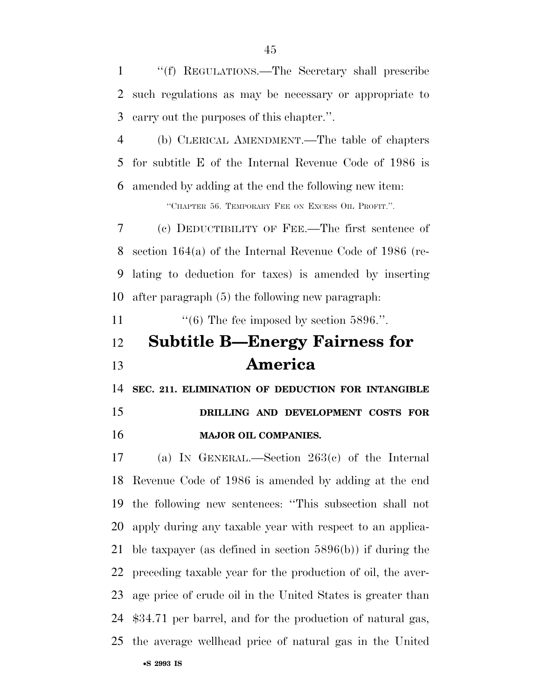''(f) REGULATIONS.—The Secretary shall prescribe such regulations as may be necessary or appropriate to carry out the purposes of this chapter.''.

 (b) CLERICAL AMENDMENT.—The table of chapters for subtitle E of the Internal Revenue Code of 1986 is amended by adding at the end the following new item:

''CHAPTER 56. TEMPORARY FEE ON EXCESS OIL PROFIT.''.

 (c) DEDUCTIBILITY OF FEE.—The first sentence of section 164(a) of the Internal Revenue Code of 1986 (re- lating to deduction for taxes) is amended by inserting after paragraph (5) the following new paragraph:

11  $\frac{11}{100}$  The fee imposed by section 5896.".

# **Subtitle B—Energy Fairness for America**

**SEC. 211. ELIMINATION OF DEDUCTION FOR INTANGIBLE** 

### **DRILLING AND DEVELOPMENT COSTS FOR MAJOR OIL COMPANIES.**

 (a) IN GENERAL.—Section 263(c) of the Internal Revenue Code of 1986 is amended by adding at the end the following new sentences: ''This subsection shall not apply during any taxable year with respect to an applica- ble taxpayer (as defined in section 5896(b)) if during the preceding taxable year for the production of oil, the aver- age price of crude oil in the United States is greater than \$34.71 per barrel, and for the production of natural gas, the average wellhead price of natural gas in the United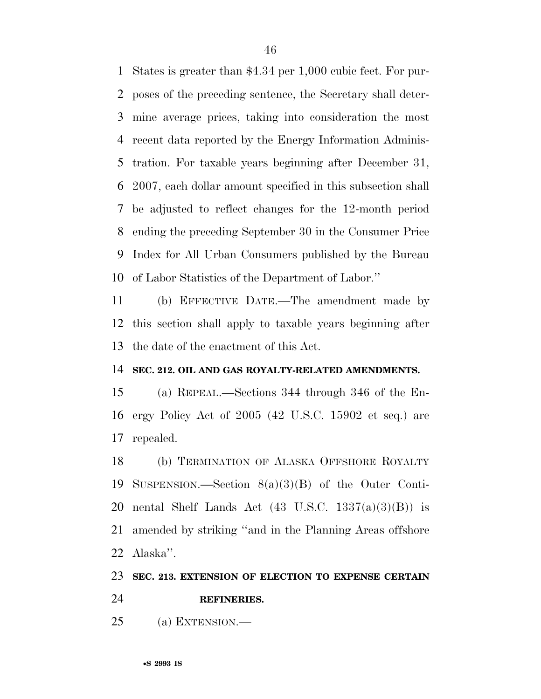States is greater than \$4.34 per 1,000 cubic feet. For pur- poses of the preceding sentence, the Secretary shall deter- mine average prices, taking into consideration the most recent data reported by the Energy Information Adminis- tration. For taxable years beginning after December 31, 2007, each dollar amount specified in this subsection shall be adjusted to reflect changes for the 12-month period ending the preceding September 30 in the Consumer Price Index for All Urban Consumers published by the Bureau of Labor Statistics of the Department of Labor.''

 (b) EFFECTIVE DATE.—The amendment made by this section shall apply to taxable years beginning after the date of the enactment of this Act.

#### **SEC. 212. OIL AND GAS ROYALTY-RELATED AMENDMENTS.**

 (a) REPEAL.—Sections 344 through 346 of the En- ergy Policy Act of 2005 (42 U.S.C. 15902 et seq.) are repealed.

 (b) TERMINATION OF ALASKA OFFSHORE ROYALTY SUSPENSION.—Section 8(a)(3)(B) of the Outer Conti-20 nental Shelf Lands Act  $(43 \text{ U.S.C. } 1337(a)(3)(B))$  is amended by striking ''and in the Planning Areas offshore Alaska''.

#### **SEC. 213. EXTENSION OF ELECTION TO EXPENSE CERTAIN**

**REFINERIES.** 

(a) EXTENSION.—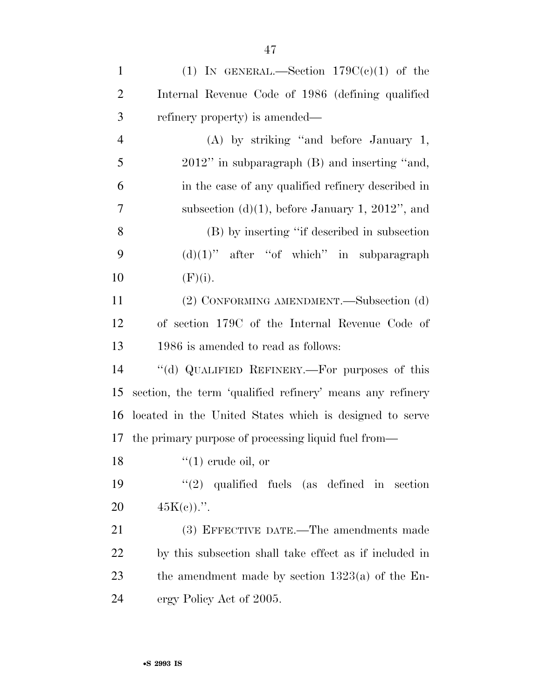| $\mathbf{1}$   | (1) IN GENERAL.—Section $179C(e)(1)$ of the               |
|----------------|-----------------------------------------------------------|
| $\overline{2}$ | Internal Revenue Code of 1986 (defining qualified         |
| 3              | refinery property) is amended—                            |
| $\overline{4}$ | $(A)$ by striking "and before January 1,                  |
| 5              | $2012$ " in subparagraph $(B)$ and inserting "and,        |
| 6              | in the case of any qualified refinery described in        |
| 7              | subsection (d)(1), before January 1, 2012", and           |
| 8              | (B) by inserting "if described in subsection              |
| 9              | $(d)(1)$ " after "of which" in subparagraph               |
| 10             | (F)(i).                                                   |
| 11             | (2) CONFORMING AMENDMENT.—Subsection (d)                  |
| 12             | of section 179C of the Internal Revenue Code of           |
| 13             | 1986 is amended to read as follows:                       |
| 14             | "(d) QUALIFIED REFINERY.—For purposes of this             |
| 15             | section, the term 'qualified refinery' means any refinery |
| 16             | located in the United States which is designed to serve   |
|                | 17 the primary purpose of processing liquid fuel from—    |
| 18             | $\lq(1)$ crude oil, or                                    |
| 19             | $(2)$ qualified fuels (as defined in section              |
| 20             | $45K(e)$ .                                                |
| 21             | (3) EFFECTIVE DATE.—The amendments made                   |
| 22             | by this subsection shall take effect as if included in    |
| 23             | the amendment made by section $1323(a)$ of the En-        |
| 24             | ergy Policy Act of 2005.                                  |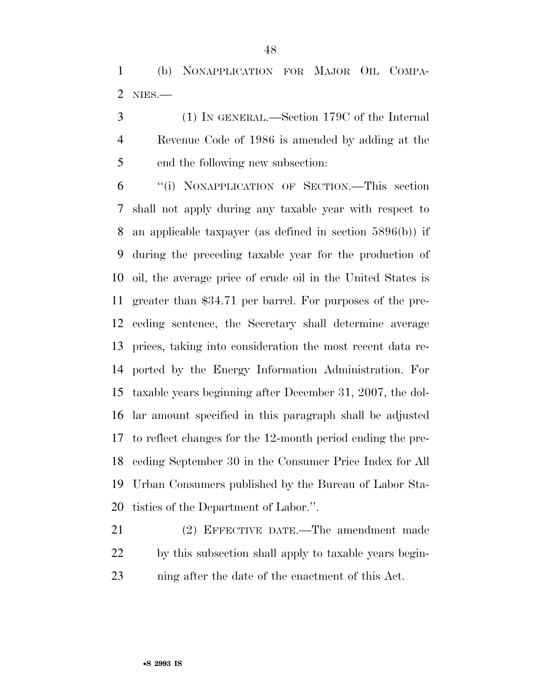(b) NONAPPLICATION FOR MAJOR OIL COMPA-NIES.—

 (1) IN GENERAL.—Section 179C of the Internal Revenue Code of 1986 is amended by adding at the end the following new subsection:

 ''(i) NONAPPLICATION OF SECTION.—This section shall not apply during any taxable year with respect to an applicable taxpayer (as defined in section 5896(b)) if during the preceding taxable year for the production of oil, the average price of crude oil in the United States is greater than \$34.71 per barrel. For purposes of the pre- ceding sentence, the Secretary shall determine average prices, taking into consideration the most recent data re- ported by the Energy Information Administration. For taxable years beginning after December 31, 2007, the dol- lar amount specified in this paragraph shall be adjusted to reflect changes for the 12-month period ending the pre- ceding September 30 in the Consumer Price Index for All Urban Consumers published by the Bureau of Labor Sta-tistics of the Department of Labor.''.

 (2) EFFECTIVE DATE.—The amendment made by this subsection shall apply to taxable years begin-ning after the date of the enactment of this Act.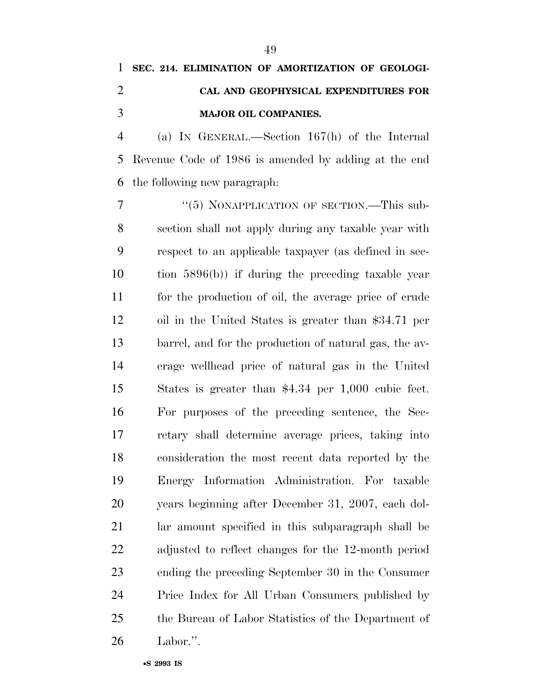# **SEC. 214. ELIMINATION OF AMORTIZATION OF GEOLOGI- CAL AND GEOPHYSICAL EXPENDITURES FOR MAJOR OIL COMPANIES.**

 (a) IN GENERAL.—Section 167(h) of the Internal Revenue Code of 1986 is amended by adding at the end the following new paragraph:

7 "(5) NONAPPLICATION OF SECTION.—This sub- section shall not apply during any taxable year with respect to an applicable taxpayer (as defined in sec- tion 5896(b)) if during the preceding taxable year for the production of oil, the average price of crude oil in the United States is greater than \$34.71 per barrel, and for the production of natural gas, the av- erage wellhead price of natural gas in the United States is greater than \$4.34 per 1,000 cubic feet. For purposes of the preceding sentence, the Sec- retary shall determine average prices, taking into consideration the most recent data reported by the Energy Information Administration. For taxable years beginning after December 31, 2007, each dol- lar amount specified in this subparagraph shall be adjusted to reflect changes for the 12-month period ending the preceding September 30 in the Consumer Price Index for All Urban Consumers published by the Bureau of Labor Statistics of the Department of Labor.''.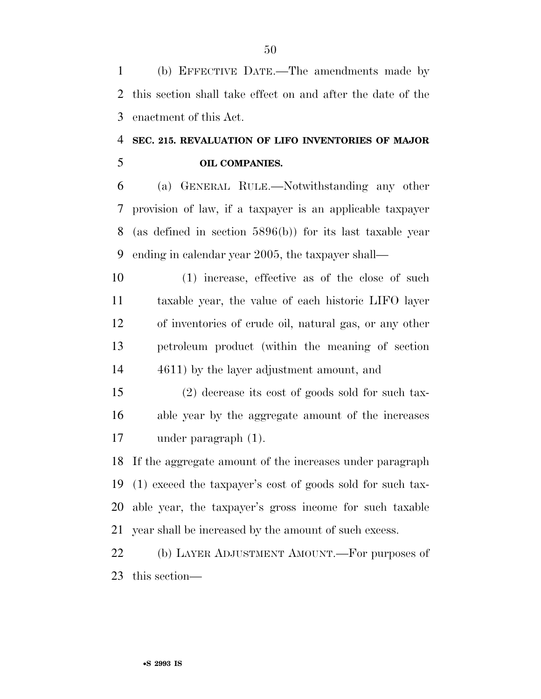(b) EFFECTIVE DATE.—The amendments made by this section shall take effect on and after the date of the enactment of this Act.

### **SEC. 215. REVALUATION OF LIFO INVENTORIES OF MAJOR OIL COMPANIES.**

 (a) GENERAL RULE.—Notwithstanding any other provision of law, if a taxpayer is an applicable taxpayer (as defined in section 5896(b)) for its last taxable year ending in calendar year 2005, the taxpayer shall—

 (1) increase, effective as of the close of such taxable year, the value of each historic LIFO layer of inventories of crude oil, natural gas, or any other petroleum product (within the meaning of section 4611) by the layer adjustment amount, and

 (2) decrease its cost of goods sold for such tax- able year by the aggregate amount of the increases under paragraph (1).

 If the aggregate amount of the increases under paragraph (1) exceed the taxpayer's cost of goods sold for such tax- able year, the taxpayer's gross income for such taxable year shall be increased by the amount of such excess.

 (b) LAYER ADJUSTMENT AMOUNT.—For purposes of this section—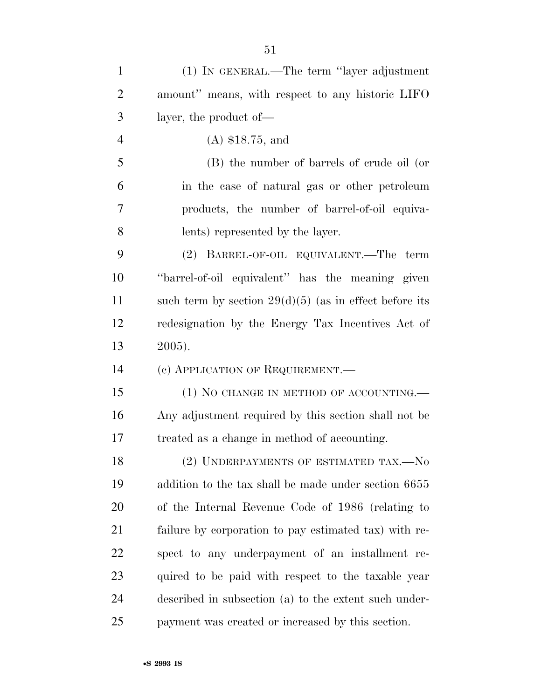| $\mathbf{1}$   | (1) IN GENERAL.—The term "layer adjustment"              |
|----------------|----------------------------------------------------------|
| $\overline{2}$ | amount" means, with respect to any historic LIFO         |
| 3              | layer, the product of—                                   |
| $\overline{4}$ | $(A)$ \$18.75, and                                       |
| 5              | (B) the number of barrels of crude oil (or               |
| 6              | in the case of natural gas or other petroleum            |
| 7              | products, the number of barrel-of-oil equiva-            |
| 8              | lents) represented by the layer.                         |
| 9              | (2) BARREL-OF-OIL EQUIVALENT.—The term                   |
| 10             | "barrel-of-oil equivalent" has the meaning given         |
| 11             | such term by section $29(d)(5)$ (as in effect before its |
| 12             | redesignation by the Energy Tax Incentives Act of        |
| 13             | 2005).                                                   |
| 14             | (c) APPLICATION OF REQUIREMENT.                          |
| 15             | $(1)$ No CHANGE IN METHOD OF ACCOUNTING.—                |
| 16             | Any adjustment required by this section shall not be     |
| 17             | treated as a change in method of accounting.             |
| 18             | (2) UNDERPAYMENTS OF ESTIMATED TAX.-No                   |
| 19             | addition to the tax shall be made under section 6655     |
| 20             | of the Internal Revenue Code of 1986 (relating to        |
| 21             | failure by corporation to pay estimated tax) with re-    |
| 22             | spect to any underpayment of an installment re-          |
| 23             | quired to be paid with respect to the taxable year       |
| 24             | described in subsection (a) to the extent such under-    |
| 25             | payment was created or increased by this section.        |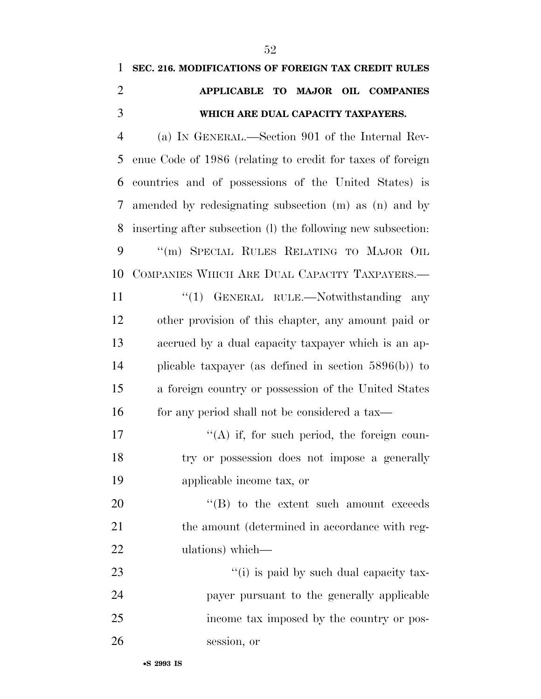**SEC. 216. MODIFICATIONS OF FOREIGN TAX CREDIT RULES** 

| $\overline{2}$ | APPLICABLE TO MAJOR OIL COMPANIES                            |
|----------------|--------------------------------------------------------------|
| 3              | WHICH ARE DUAL CAPACITY TAXPAYERS.                           |
| $\overline{4}$ | (a) IN GENERAL.—Section 901 of the Internal Rev-             |
| 5              | enue Code of 1986 (relating to credit for taxes of foreign   |
| 6              | countries and of possessions of the United States) is        |
| 7              | amended by redesignating subsection (m) as (n) and by        |
| 8              | inserting after subsection (l) the following new subsection: |
| 9              | "(m) SPECIAL RULES RELATING TO MAJOR OIL                     |
| 10             | COMPANIES WHICH ARE DUAL CAPACITY TAXPAYERS.                 |
| 11             | "(1) GENERAL RULE.—Notwithstanding any                       |
| 12             | other provision of this chapter, any amount paid or          |
| 13             | accrued by a dual capacity taxpayer which is an ap-          |
| 14             | plicable taxpayer (as defined in section $5896(b)$ ) to      |
| 15             | a foreign country or possession of the United States         |
| 16             | for any period shall not be considered a tax—                |
| 17             | $\lq\lq$ if, for such period, the foreign coun-              |
| 18             | try or possession does not impose a generally                |
| 19             | applicable income tax, or                                    |
| 20             | $\lq\lq$ to the extent such amount exceeds                   |
| 21             | the amount (determined in accordance with reg-               |
| 22             | ulations) which—                                             |
| 23             | "(i) is paid by such dual capacity tax-                      |
| 24             | payer pursuant to the generally applicable                   |
| 25             | income tax imposed by the country or pos-                    |
| 26             | session, or                                                  |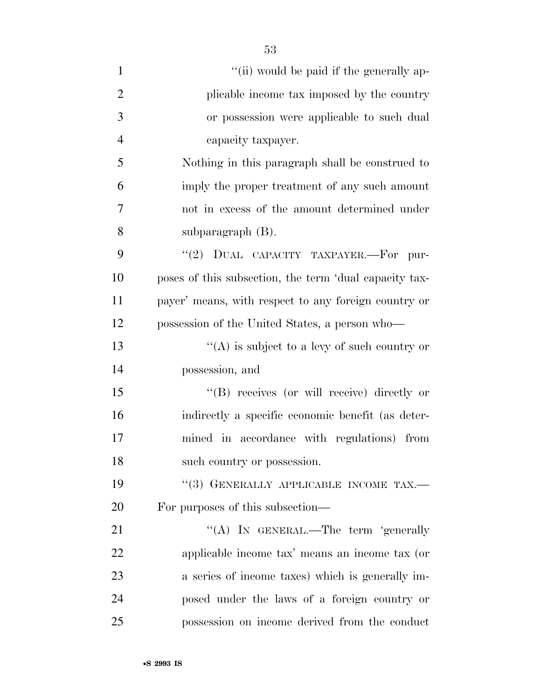| $\mathbf{1}$   | "(ii) would be paid if the generally ap-               |
|----------------|--------------------------------------------------------|
| $\overline{2}$ | plicable income tax imposed by the country             |
| 3              | or possession were applicable to such dual             |
| $\overline{4}$ | capacity taxpayer.                                     |
| 5              | Nothing in this paragraph shall be construed to        |
| 6              | imply the proper treatment of any such amount          |
| 7              | not in excess of the amount determined under           |
| 8              | subparagraph $(B)$ .                                   |
| 9              | "(2) DUAL CAPACITY TAXPAYER.—For pur-                  |
| 10             | poses of this subsection, the term 'dual capacity tax- |
| 11             | payer' means, with respect to any foreign country or   |
| 12             | possession of the United States, a person who—         |
| 13             | "(A) is subject to a levy of such country or           |
| 14             | possession, and                                        |
| 15             | "(B) receives (or will receive) directly or            |
| 16             | indirectly a specific economic benefit (as deter-      |
| 17             | mined in accordance with regulations) from             |
| 18             | such country or possession.                            |
| 19             | "(3) GENERALLY APPLICABLE INCOME TAX.-                 |
| 20             | For purposes of this subsection—                       |
| 21             | "(A) IN GENERAL.—The term 'generally                   |
| 22             | applicable income tax' means an income tax (or         |
| 23             | a series of income taxes) which is generally im-       |
| 24             | posed under the laws of a foreign country or           |
| 25             | possession on income derived from the conduct          |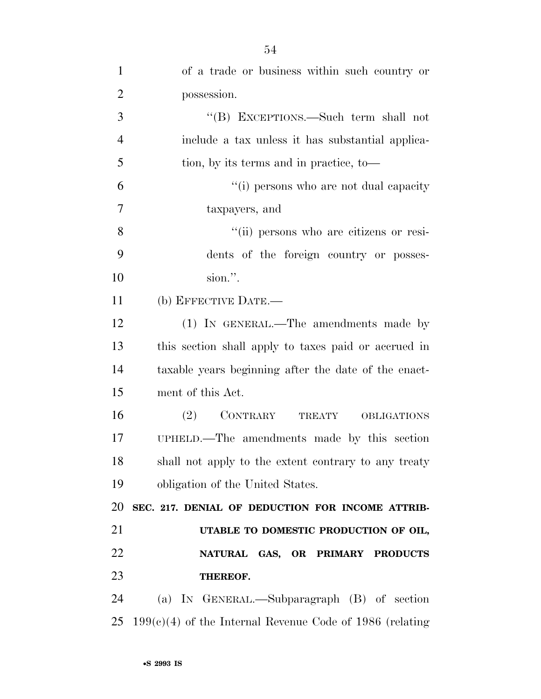| $\mathbf{1}$   | of a trade or business within such country or              |
|----------------|------------------------------------------------------------|
| $\overline{2}$ | possession.                                                |
| 3              | "(B) EXCEPTIONS.—Such term shall not                       |
| $\overline{4}$ | include a tax unless it has substantial applica-           |
| 5              | tion, by its terms and in practice, to-                    |
| 6              | "(i) persons who are not dual capacity                     |
| $\overline{7}$ | taxpayers, and                                             |
| 8              | "(ii) persons who are citizens or resi-                    |
| 9              | dents of the foreign country or posses-                    |
| 10             | sion.".                                                    |
| 11             | (b) EFFECTIVE DATE.-                                       |
| 12             | (1) IN GENERAL.—The amendments made by                     |
| 13             | this section shall apply to taxes paid or accrued in       |
| 14             | taxable years beginning after the date of the enact-       |
| 15             | ment of this Act.                                          |
| 16             | CONTRARY<br>(2)<br>TREATY OBLIGATIONS                      |
| 17             | UPHELD.—The amendments made by this section                |
| 18             | shall not apply to the extent contrary to any treaty       |
| 19             | obligation of the United States.                           |
| 20             | SEC. 217. DENIAL OF DEDUCTION FOR INCOME ATTRIB-           |
| 21             | UTABLE TO DOMESTIC PRODUCTION OF OIL,                      |
| 22             | NATURAL GAS, OR PRIMARY PRODUCTS                           |
| 23             | THEREOF.                                                   |
| 24             | (a) IN GENERAL.—Subparagraph (B) of section                |
| 25             | $199(c)(4)$ of the Internal Revenue Code of 1986 (relating |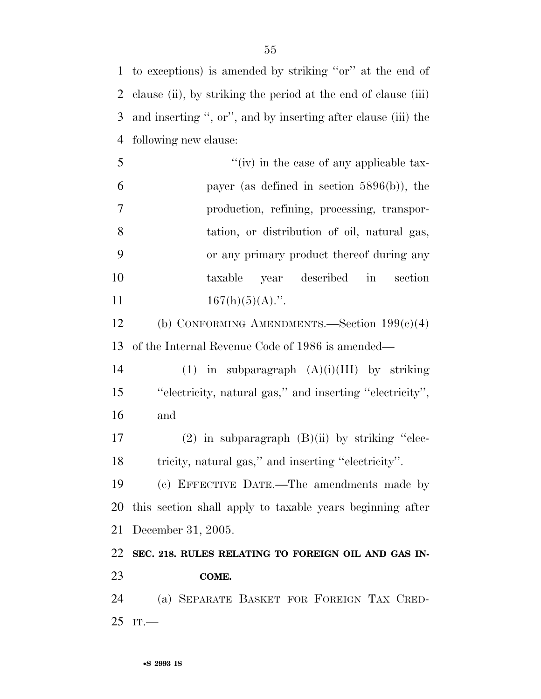to exceptions) is amended by striking ''or'' at the end of clause (ii), by striking the period at the end of clause (iii) and inserting '', or'', and by inserting after clause (iii) the following new clause:

 ''(iv) in the case of any applicable tax- payer (as defined in section 5896(b)), the production, refining, processing, transpor- tation, or distribution of oil, natural gas, or any primary product thereof during any taxable year described in section  $167(h)(5)(A)$ .".

 (b) CONFORMING AMENDMENTS.—Section 199(c)(4) of the Internal Revenue Code of 1986 is amended—

14 (1) in subparagraph  $(A)(i)(III)$  by striking ''electricity, natural gas,'' and inserting ''electricity'', and

 (2) in subparagraph (B)(ii) by striking ''elec-tricity, natural gas,'' and inserting ''electricity''.

 (c) EFFECTIVE DATE.—The amendments made by this section shall apply to taxable years beginning after December 31, 2005.

 **SEC. 218. RULES RELATING TO FOREIGN OIL AND GAS IN-COME.** 

 (a) SEPARATE BASKET FOR FOREIGN TAX CRED-IT.—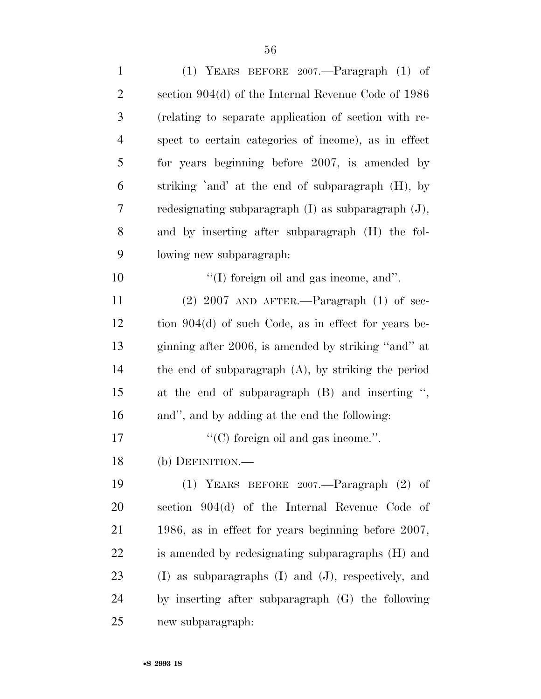| $\mathbf{1}$ | (1) YEARS BEFORE $2007$ —Paragraph (1) of                  |
|--------------|------------------------------------------------------------|
| 2            | section $904(d)$ of the Internal Revenue Code of 1986      |
| 3            | (relating to separate application of section with re-      |
| 4            | spect to certain categories of income), as in effect       |
| 5            | for years beginning before 2007, is amended by             |
| 6            | striking 'and' at the end of subparagraph (H), by          |
| 7            | redesignating subparagraph $(I)$ as subparagraph $(J)$ ,   |
| 8            | and by inserting after subparagraph (H) the fol-           |
| 9            | lowing new subparagraph:                                   |
| 10           | $\lq\lq$ (I) foreign oil and gas income, and".             |
| 11           | $(2)$ 2007 AND AFTER.—Paragraph $(1)$ of sec-              |
| 12           | tion $904(d)$ of such Code, as in effect for years be-     |
| 13           | ginning after 2006, is amended by striking "and" at        |
| 14           | the end of subparagraph $(A)$ , by striking the period     |
| 15           | at the end of subparagraph (B) and inserting ",            |
| 16           | and", and by adding at the end the following:              |
| 17           | $\lq\lq$ (C) foreign oil and gas income.".                 |
| 18           | (b) DEFINITION.-                                           |
| 19           | (1) YEARS BEFORE $2007$ —Paragraph (2) of                  |
| 20           | section 904(d) of the Internal Revenue Code of             |
| 21           | 1986, as in effect for years beginning before 2007,        |
| 22           | is amended by redesignating subparagraphs (H) and          |
| 23           | $(I)$ as subparagraphs $(I)$ and $(J)$ , respectively, and |
| 24           | by inserting after subparagraph (G) the following          |
| 25           | new subparagraph:                                          |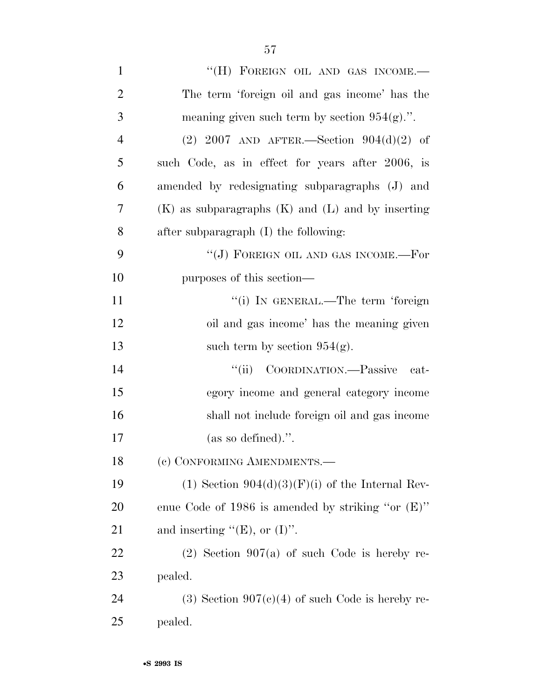| $\mathbf{1}$   | "(H) FOREIGN OIL AND GAS INCOME.-                       |
|----------------|---------------------------------------------------------|
| $\overline{2}$ | The term 'foreign oil and gas income' has the           |
| 3              | meaning given such term by section $954(g)$ .".         |
| $\overline{4}$ | (2) 2007 AND AFTER.—Section $904(d)(2)$ of              |
| 5              | such Code, as in effect for years after 2006, is        |
| 6              | amended by redesignating subparagraphs (J) and          |
| 7              | $(K)$ as subparagraphs $(K)$ and $(L)$ and by inserting |
| 8              | after subparagraph (I) the following:                   |
| 9              | $``({\rm J})$ FOREIGN OIL AND GAS INCOME.—For           |
| 10             | purposes of this section—                               |
| 11             | "(i) IN GENERAL.—The term 'foreign                      |
| 12             | oil and gas income' has the meaning given               |
| 13             | such term by section $954(g)$ .                         |
| 14             | COORDINATION.—Passive<br>``(ii)<br>cat-                 |
| 15             | egory income and general category income                |
| 16             | shall not include foreign oil and gas income            |
| 17             | (as so defined).".                                      |
| 18             | (c) CONFORMING AMENDMENTS.-                             |
| 19             | (1) Section $904(d)(3)(F)(i)$ of the Internal Rev-      |
| 20             | enue Code of 1986 is amended by striking "or $(E)$ "    |
| 21             | and inserting " $(E)$ , or $(I)$ ".                     |
| 22             | $(2)$ Section 907(a) of such Code is hereby re-         |
| 23             | pealed.                                                 |
| 24             | $(3)$ Section 907 $(c)(4)$ of such Code is hereby re-   |
| 25             | pealed.                                                 |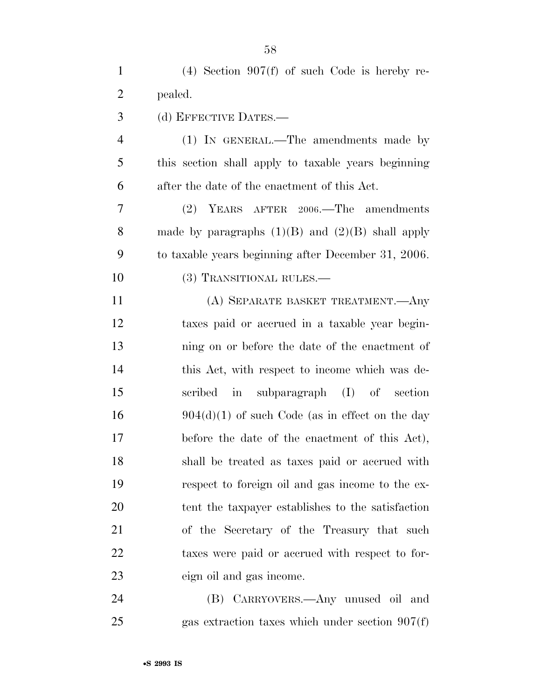| $\mathbf{1}$   | $(4)$ Section 907(f) of such Code is hereby re-      |
|----------------|------------------------------------------------------|
| $\overline{2}$ | pealed.                                              |
| 3              | (d) EFFECTIVE DATES.—                                |
| $\overline{4}$ | (1) IN GENERAL.—The amendments made by               |
| 5              | this section shall apply to taxable years beginning  |
| 6              | after the date of the enactment of this Act.         |
| $\overline{7}$ | (2) YEARS AFTER 2006.—The amendments                 |
| 8              | made by paragraphs $(1)(B)$ and $(2)(B)$ shall apply |
| 9              | to taxable years beginning after December 31, 2006.  |
| 10             | (3) TRANSITIONAL RULES.—                             |
| 11             | (A) SEPARATE BASKET TREATMENT.—Any                   |
| 12             | taxes paid or accrued in a taxable year begin-       |
| 13             | ning on or before the date of the enactment of       |
| 14             | this Act, with respect to income which was de-       |
| 15             | in subparagraph (I) of section<br>scribed            |
| 16             | $904(d)(1)$ of such Code (as in effect on the day    |
| 17             | before the date of the enactment of this Act),       |
| 18             | shall be treated as taxes paid or accrued with       |
| 19             | respect to foreign oil and gas income to the ex-     |
| 20             | tent the taxpayer establishes to the satisfaction    |
| 21             | of the Secretary of the Treasury that such           |
| 22             | taxes were paid or accrued with respect to for-      |
| 23             | eign oil and gas income.                             |
| 24             | (B) CARRYOVERS.—Any unused oil and                   |
| 25             | gas extraction taxes which under section $907(f)$    |
|                |                                                      |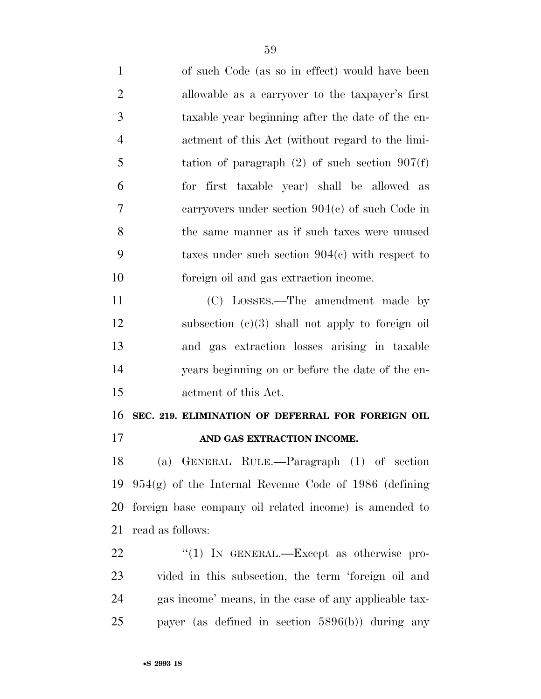| $\mathbf{1}$   | of such Code (as so in effect) would have been          |
|----------------|---------------------------------------------------------|
| $\overline{2}$ | allowable as a carryover to the taxpayer's first        |
| 3              | taxable year beginning after the date of the en-        |
| $\overline{4}$ | actment of this Act (without regard to the limi-        |
| 5              | tation of paragraph $(2)$ of such section $907(f)$      |
| 6              | for first taxable year) shall be allowed as             |
| 7              | carryovers under section $904(c)$ of such Code in       |
| 8              | the same manner as if such taxes were unused            |
| 9              | taxes under such section $904(c)$ with respect to       |
| 10             | foreign oil and gas extraction income.                  |
| 11             | (C) LOSSES.—The amendment made by                       |
| 12             | subsection $(c)(3)$ shall not apply to foreign oil      |
| 13             | and gas extraction losses arising in taxable            |
| 14             | years beginning on or before the date of the en-        |
| 15             | actment of this Act.                                    |
| 16             | SEC. 219. ELIMINATION OF DEFERRAL FOR FOREIGN OIL       |
| 17             | AND GAS EXTRACTION INCOME.                              |
| 18             | (a) GENERAL RULE.—Paragraph (1) of section              |
| 19             | $954(g)$ of the Internal Revenue Code of 1986 (defining |
| 20             | foreign base company oil related income) is amended to  |
| 21             | read as follows:                                        |
| 22             | " $(1)$ IN GENERAL.—Except as otherwise pro-            |
| 23             | vided in this subsection, the term 'foreign oil and     |
| 24             | gas income' means, in the case of any applicable tax-   |
| 25             | payer (as defined in section $5896(b)$ ) during any     |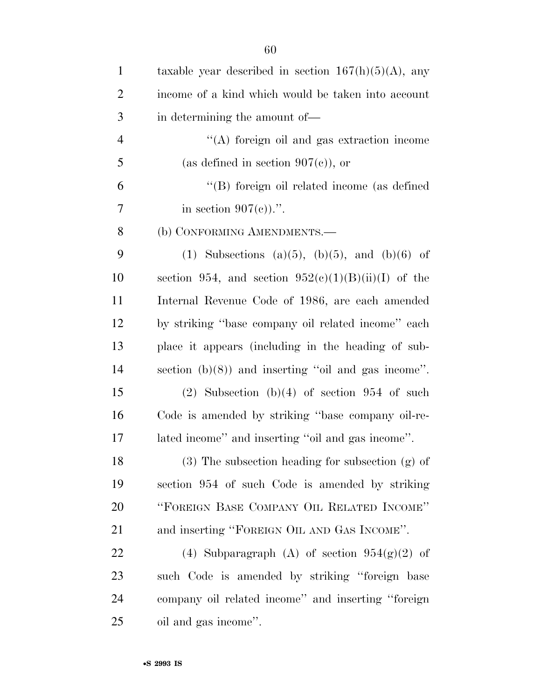| $\mathbf{1}$   | taxable year described in section $167(h)(5)(A)$ , any |
|----------------|--------------------------------------------------------|
| $\overline{2}$ | income of a kind which would be taken into account     |
| 3              | in determining the amount of—                          |
| $\overline{4}$ | "(A) foreign oil and gas extraction income             |
| 5              | (as defined in section $907(c)$ ), or                  |
| 6              | "(B) foreign oil related income (as defined            |
| 7              | in section $907(e)$ .".                                |
| 8              | (b) CONFORMING AMENDMENTS.-                            |
| 9              | (1) Subsections (a)(5), (b)(5), and (b)(6) of          |
| 10             | section 954, and section $952(c)(1)(B)(ii)(I)$ of the  |
| 11             | Internal Revenue Code of 1986, are each amended        |
| 12             | by striking "base company oil related income" each     |
| 13             | place it appears (including in the heading of sub-     |
| 14             | section $(b)(8)$ and inserting "oil and gas income".   |
| 15             | $(2)$ Subsection $(b)(4)$ of section 954 of such       |
| 16             | Code is amended by striking "base company oil-re-      |
| 17             | lated income" and inserting "oil and gas income".      |
| 18             | $(3)$ The subsection heading for subsection $(g)$ of   |
| 19             | section 954 of such Code is amended by striking        |
| 20             | "FOREIGN BASE COMPANY OIL RELATED INCOME"              |
| 21             | and inserting "FOREIGN OIL AND GAS INCOME".            |
| 22             | (4) Subparagraph (A) of section $954(g)(2)$ of         |
| 23             | such Code is amended by striking "foreign base         |
| 24             | company oil related income" and inserting "foreign     |
| 25             | oil and gas income".                                   |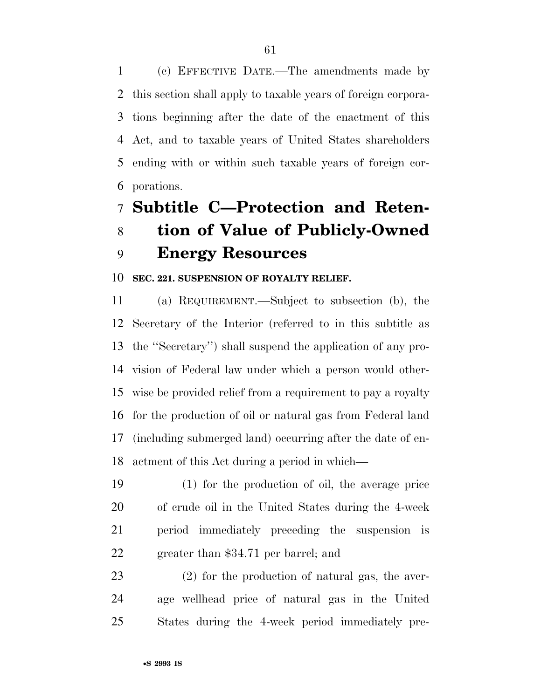(c) EFFECTIVE DATE.—The amendments made by this section shall apply to taxable years of foreign corpora- tions beginning after the date of the enactment of this Act, and to taxable years of United States shareholders ending with or within such taxable years of foreign cor-porations.

# **Subtitle C—Protection and Reten- tion of Value of Publicly-Owned Energy Resources**

#### **SEC. 221. SUSPENSION OF ROYALTY RELIEF.**

 (a) REQUIREMENT.—Subject to subsection (b), the Secretary of the Interior (referred to in this subtitle as the ''Secretary'') shall suspend the application of any pro- vision of Federal law under which a person would other- wise be provided relief from a requirement to pay a royalty for the production of oil or natural gas from Federal land (including submerged land) occurring after the date of en-actment of this Act during a period in which—

 (1) for the production of oil, the average price of crude oil in the United States during the 4-week period immediately preceding the suspension is greater than \$34.71 per barrel; and

 (2) for the production of natural gas, the aver- age wellhead price of natural gas in the United States during the 4-week period immediately pre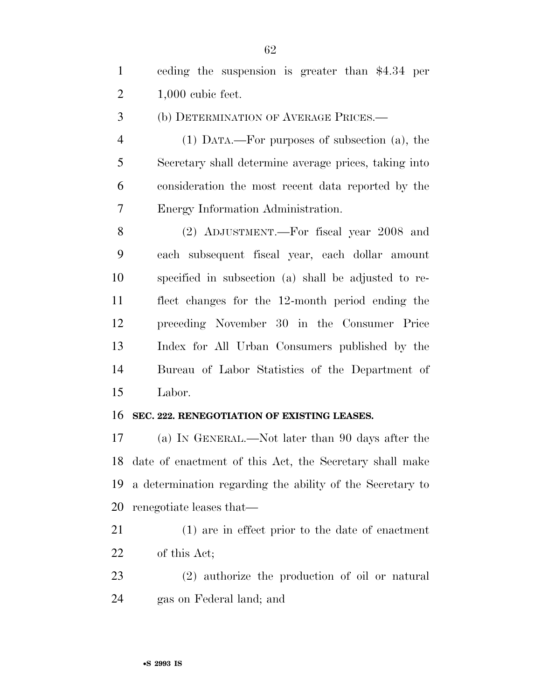ceding the suspension is greater than \$4.34 per 1,000 cubic feet.

(b) DETERMINATION OF AVERAGE PRICES.—

 (1) DATA.—For purposes of subsection (a), the Secretary shall determine average prices, taking into consideration the most recent data reported by the Energy Information Administration.

 (2) ADJUSTMENT.—For fiscal year 2008 and each subsequent fiscal year, each dollar amount specified in subsection (a) shall be adjusted to re- flect changes for the 12-month period ending the preceding November 30 in the Consumer Price Index for All Urban Consumers published by the Bureau of Labor Statistics of the Department of Labor.

#### **SEC. 222. RENEGOTIATION OF EXISTING LEASES.**

 (a) IN GENERAL.—Not later than 90 days after the date of enactment of this Act, the Secretary shall make a determination regarding the ability of the Secretary to renegotiate leases that—

 (1) are in effect prior to the date of enactment of this Act;

 (2) authorize the production of oil or natural gas on Federal land; and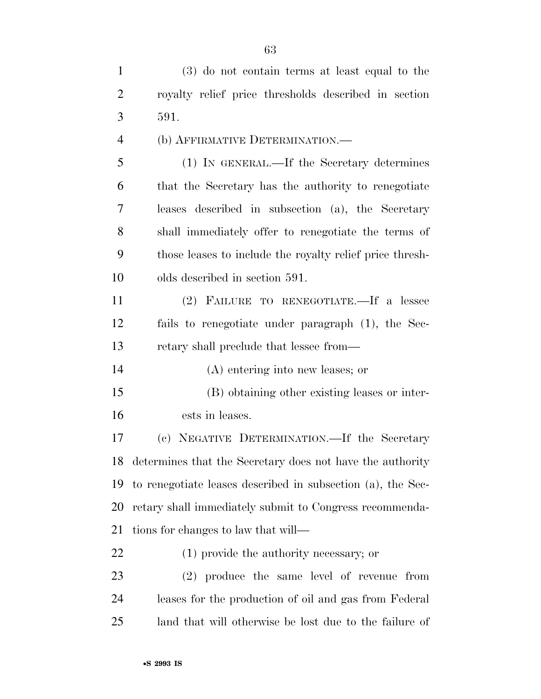| $\mathbf{1}$   | (3) do not contain terms at least equal to the              |
|----------------|-------------------------------------------------------------|
| $\overline{2}$ | royalty relief price thresholds described in section        |
| 3              | 591.                                                        |
| $\overline{4}$ | (b) AFFIRMATIVE DETERMINATION.—                             |
| 5              | (1) IN GENERAL.—If the Secretary determines                 |
| 6              | that the Secretary has the authority to renegotiate         |
| 7              | leases described in subsection (a), the Secretary           |
| 8              | shall immediately offer to renegotiate the terms of         |
| 9              | those leases to include the royalty relief price thresh-    |
| 10             | olds described in section 591.                              |
| 11             | (2) FAILURE TO RENEGOTIATE.—If a lessee                     |
| 12             | fails to renegotiate under paragraph (1), the Sec-          |
| 13             | retary shall preclude that lessee from—                     |
| 14             | (A) entering into new leases; or                            |
| 15             | (B) obtaining other existing leases or inter-               |
| 16             | ests in leases.                                             |
| 17             | (c) NEGATIVE DETERMINATION.—If the Secretary                |
| 18             | determines that the Secretary does not have the authority   |
| 19             | to renegotiate leases described in subsection (a), the Sec- |
| 20             | retary shall immediately submit to Congress recommenda-     |
| 21             | tions for changes to law that will—                         |
| 22             | $(1)$ provide the authority necessary; or                   |
| 23             | (2) produce the same level of revenue from                  |
| 24             | leases for the production of oil and gas from Federal       |
| 25             | land that will otherwise be lost due to the failure of      |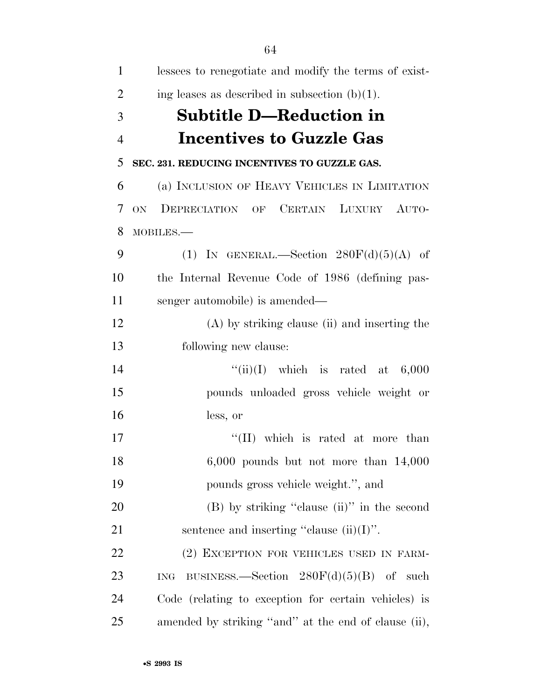| $\mathbf{1}$   | lessees to renegotiate and modify the terms of exist-   |
|----------------|---------------------------------------------------------|
| $\overline{2}$ | ing leases as described in subsection $(b)(1)$ .        |
| 3              | <b>Subtitle D—Reduction in</b>                          |
| $\overline{4}$ | <b>Incentives to Guzzle Gas</b>                         |
| 5              | SEC. 231. REDUCING INCENTIVES TO GUZZLE GAS.            |
| 6              | (a) INCLUSION OF HEAVY VEHICLES IN LIMITATION           |
| 7              | DEPRECIATION OF CERTAIN LUXURY AUTO-<br>ON.             |
| 8              | MOBILES.-                                               |
| 9              | (1) IN GENERAL.—Section $280F(d)(5)(A)$ of              |
| 10             | the Internal Revenue Code of 1986 (defining pas-        |
| 11             | senger automobile) is amended—                          |
| 12             | $(A)$ by striking clause (ii) and inserting the         |
| 13             | following new clause:                                   |
| 14             | "(ii)(I) which is rated at $6,000$                      |
| 15             | pounds unloaded gross vehicle weight or                 |
| 16             | less, or                                                |
| 17             | "(II) which is rated at more than                       |
| 18             | $6,000$ pounds but not more than $14,000$               |
| 19             | pounds gross vehicle weight.", and                      |
| 20             | $(B)$ by striking "clause (ii)" in the second           |
| 21             | sentence and inserting "clause $(ii)(I)$ ".             |
| 22             | (2) EXCEPTION FOR VEHICLES USED IN FARM-                |
| 23             | BUSINESS.—Section $280F(d)(5)(B)$ of such<br><b>ING</b> |
| 24             | Code (relating to exception for certain vehicles) is    |
| 25             | amended by striking "and" at the end of clause (ii),    |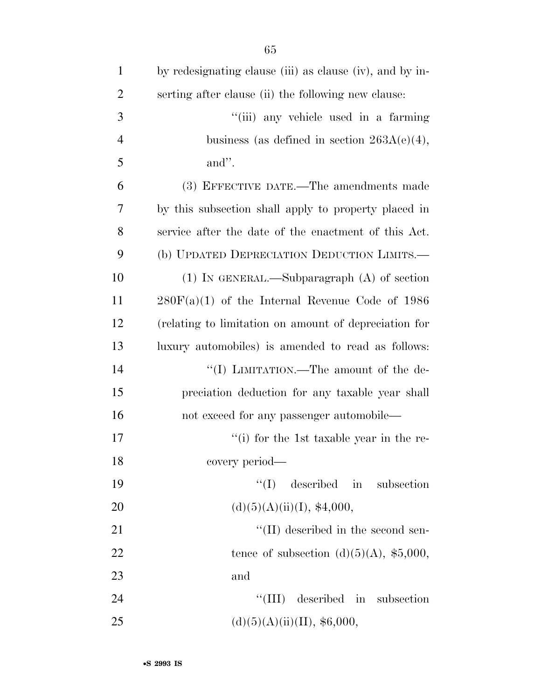| $\mathbf{1}$   | by redesignating clause (iii) as clause (iv), and by in- |
|----------------|----------------------------------------------------------|
| $\overline{2}$ | serting after clause (ii) the following new clause:      |
| 3              | "(iii) any vehicle used in a farming                     |
| $\overline{4}$ | business (as defined in section $263A(e)(4)$ ,           |
| 5              | and".                                                    |
| 6              | (3) EFFECTIVE DATE.—The amendments made                  |
| 7              | by this subsection shall apply to property placed in     |
| 8              | service after the date of the enactment of this Act.     |
| 9              | (b) UPDATED DEPRECIATION DEDUCTION LIMITS.—              |
| 10             | $(1)$ In GENERAL.—Subparagraph $(A)$ of section          |
| 11             | $280F(a)(1)$ of the Internal Revenue Code of 1986        |
| 12             | (relating to limitation on amount of depreciation for    |
| 13             | luxury automobiles) is amended to read as follows:       |
| 14             | "(I) LIMITATION.—The amount of the de-                   |
| 15             | preciation deduction for any taxable year shall          |
| 16             | not exceed for any passenger automobile—                 |
| 17             | $f'(i)$ for the 1st taxable year in the re-              |
| 18             | covery period—                                           |
| 19             | ``(I)<br>described in<br>subsection                      |
| 20             | (d)(5)(A)(ii)(I), \$4,000,                               |
| 21             | "(II) described in the second sen-                       |
| 22             | tence of subsection (d) $(5)(A)$ , \$5,000,              |
| 23             | and                                                      |
| 24             | $\lq\lq$ (III) described in<br>subsection                |
| 25             | (d)(5)(A)(ii)(II), \$6,000,                              |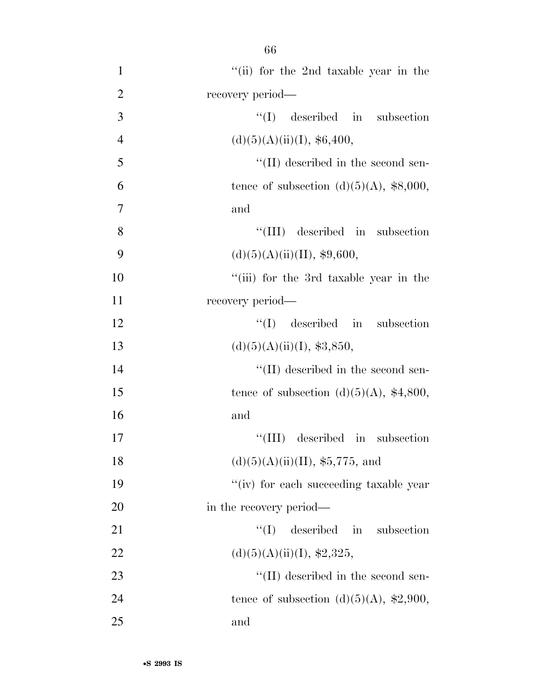| $\mathbf{1}$   | "(ii) for the 2nd taxable year in the            |
|----------------|--------------------------------------------------|
| $\overline{2}$ | recovery period—                                 |
| 3              | $\lq\lq$ (I) described in subsection             |
| $\overline{4}$ | (d)(5)(A)(ii)(I), \$6,400,                       |
| 5              | $\lq\lq$ (II) described in the second sen-       |
| 6              | tence of subsection $(d)(5)(A)$ , \$8,000,       |
| $\tau$         | and                                              |
| 8              | $\lq\lq$ (III) described in subsection           |
| 9              | (d)(5)(A)(ii)(II), \$9,600,                      |
| 10             | "(iii) for the 3rd taxable year in the           |
| 11             | recovery period—                                 |
| 12             | $\lq\lq$ described in subsection                 |
| 13             | (d)(5)(A)(ii)(I), \$3,850,                       |
| 14             | $\lq\lq$ (II) described in the second sen-       |
| 15             | tence of subsection (d) $(5)(A)$ , \$4,800,      |
| 16             | and                                              |
| 17             | $\lq\lq$ (III) described in subsection           |
| 18             | (d)(5)(A)(ii)(II), \$5,775, and                  |
| 19             | "(iv) for each succeeding taxable year           |
| 20             | in the recovery period—                          |
| 21             | described in<br>``(I)<br>subsection              |
| 22             | (d)(5)(A)(ii)(I), \$2,325,                       |
| 23             | $\lq\lq$ (II) described in the second sen-       |
| 24             | tence of subsection (d)(5)(A), $\text{\$2,900},$ |
| 25             | and                                              |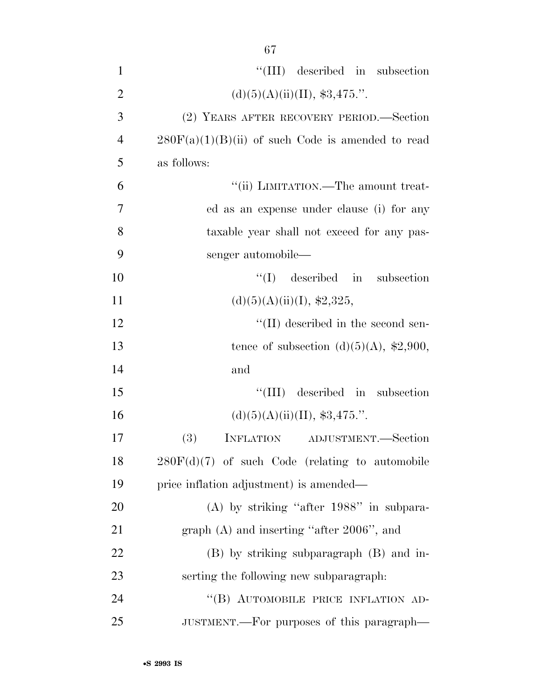| $\mathbf{1}$   | "(III) described in subsection                      |
|----------------|-----------------------------------------------------|
| $\overline{2}$ | (d)(5)(A)(ii)(II), \$3,475."                        |
| 3              | (2) YEARS AFTER RECOVERY PERIOD.—Section            |
| $\overline{4}$ | $280F(a)(1)(B)(ii)$ of such Code is amended to read |
| 5              | as follows:                                         |
| 6              | "(ii) LIMITATION.—The amount treat-                 |
| $\overline{7}$ | ed as an expense under clause (i) for any           |
| 8              | taxable year shall not exceed for any pas-          |
| 9              | senger automobile—                                  |
| 10             | $\lq\lq$ (I) described in subsection                |
| 11             | (d)(5)(A)(ii)(I), \$2,325,                          |
| 12             | $\lq\lq$ (II) described in the second sen-          |
| 13             | tence of subsection (d)(5)(A), $\,$ \$2,900,        |
| 14             | and                                                 |
| 15             | "(III) described in subsection                      |
| 16             | (d)(5)(A)(ii)(II), \$3,475."                        |
| 17             | (3)<br>INFLATION ADJUSTMENT.-Section                |
| 18             | $280F(d)(7)$ of such Code (relating to automobile   |
| 19             | price inflation adjustment) is amended—             |
| 20             | $(A)$ by striking "after 1988" in subpara-          |
| 21             | graph $(A)$ and inserting "after 2006", and         |
| 22             | (B) by striking subparagraph (B) and in-            |
| 23             | serting the following new subparagraph:             |
| 24             | "(B) AUTOMOBILE PRICE INFLATION AD-                 |
| 25             | JUSTMENT.—For purposes of this paragraph—           |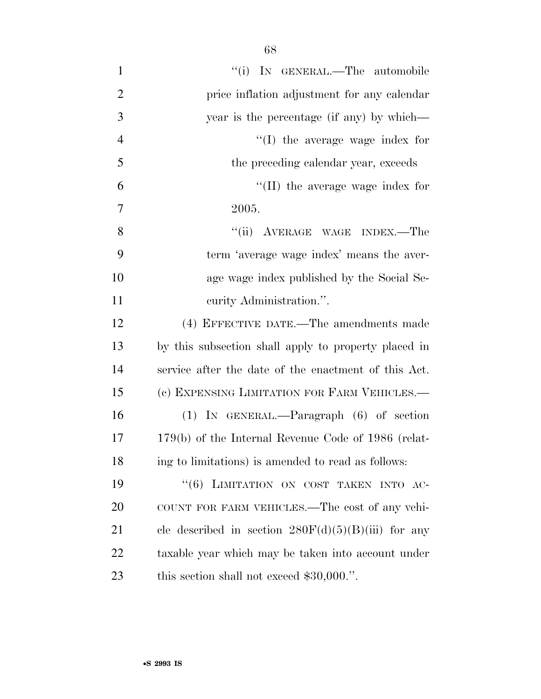| $\mathbf{1}$   | "(i) IN GENERAL.—The automobile                       |
|----------------|-------------------------------------------------------|
| $\overline{2}$ | price inflation adjustment for any calendar           |
| 3              | year is the percentage (if any) by which—             |
| $\overline{4}$ | $\lq\lq$ (I) the average wage index for               |
| 5              | the preceding calendar year, exceeds                  |
| 6              | $\lq\lq$ (II) the average wage index for              |
| 7              | 2005.                                                 |
| 8              | "(ii) AVERAGE WAGE INDEX.—The                         |
| 9              | term 'average wage index' means the aver-             |
| 10             | age wage index published by the Social Se-            |
| 11             | curity Administration.".                              |
| 12             | (4) EFFECTIVE DATE.—The amendments made               |
| 13             | by this subsection shall apply to property placed in  |
| 14             | service after the date of the enactment of this Act.  |
| 15             | (c) EXPENSING LIMITATION FOR FARM VEHICLES.—          |
| 16             | $(1)$ IN GENERAL.—Paragraph $(6)$ of section          |
| 17             | $179(b)$ of the Internal Revenue Code of 1986 (relat- |
| 18             | ing to limitations) is amended to read as follows:    |
| 19             | "(6) LIMITATION ON COST TAKEN INTO AC-                |
| 20             | COUNT FOR FARM VEHICLES.—The cost of any vehi-        |
| 21             | cle described in section $280F(d)(5)(B)(iii)$ for any |
| 22             | taxable year which may be taken into account under    |
| 23             | this section shall not exceed $$30,000."$ .           |